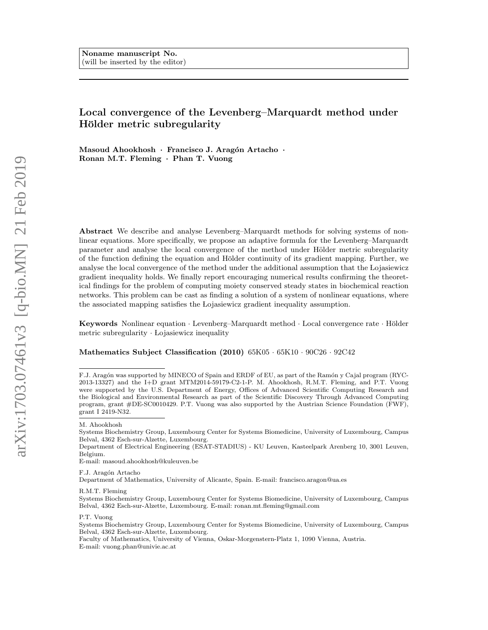# Local convergence of the Levenberg–Marquardt method under Hölder metric subregularity

Masoud Ahookhosh · Francisco J. Aragón Artacho · Ronan M.T. Fleming · Phan T. Vuong

Abstract We describe and analyse Levenberg–Marquardt methods for solving systems of nonlinear equations. More specifically, we propose an adaptive formula for the Levenberg–Marquardt parameter and analyse the local convergence of the method under Hölder metric subregularity of the function defining the equation and Hölder continuity of its gradient mapping. Further, we analyse the local convergence of the method under the additional assumption that the Lojasiewicz gradient inequality holds. We finally report encouraging numerical results confirming the theoretical findings for the problem of computing moiety conserved steady states in biochemical reaction networks. This problem can be cast as finding a solution of a system of nonlinear equations, where the associated mapping satisfies the Lojasiewicz gradient inequality assumption.

Keywords Nonlinear equation  $\cdot$  Levenberg–Marquardt method  $\cdot$  Local convergence rate  $\cdot$  Hölder metric subregularity · Lojasiewicz inequality

Mathematics Subject Classification (2010) 65K05 · 65K10 · 90C26 · 92C42

E-mail: masoud.ahookhosh@kuleuven.be

F.J. Aragón Artacho

Department of Mathematics, University of Alicante, Spain. E-mail: francisco.aragon@ua.es

R.M.T. Fleming

P.T. Vuong

Faculty of Mathematics, University of Vienna, Oskar-Morgenstern-Platz 1, 1090 Vienna, Austria. E-mail: vuong.phan@univie.ac.at

F.J. Aragón was supported by MINECO of Spain and ERDF of EU, as part of the Ramón y Cajal program (RYC-2013-13327) and the I+D grant MTM2014-59179-C2-1-P. M. Ahookhosh, R.M.T. Fleming, and P.T. Vuong were supported by the U.S. Department of Energy, Offices of Advanced Scientific Computing Research and the Biological and Environmental Research as part of the Scientific Discovery Through Advanced Computing program, grant #DE-SC0010429. P.T. Vuong was also supported by the Austrian Science Foundation (FWF), grant I 2419-N32.

M. Ahookhosh

Systems Biochemistry Group, Luxembourg Center for Systems Biomedicine, University of Luxembourg, Campus Belval, 4362 Esch-sur-Alzette, Luxembourg.

Department of Electrical Engineering (ESAT-STADIUS) - KU Leuven, Kasteelpark Arenberg 10, 3001 Leuven, Belgium.

Systems Biochemistry Group, Luxembourg Center for Systems Biomedicine, University of Luxembourg, Campus Belval, 4362 Esch-sur-Alzette, Luxembourg. E-mail: ronan.mt.fleming@gmail.com

Systems Biochemistry Group, Luxembourg Center for Systems Biomedicine, University of Luxembourg, Campus Belval, 4362 Esch-sur-Alzette, Luxembourg.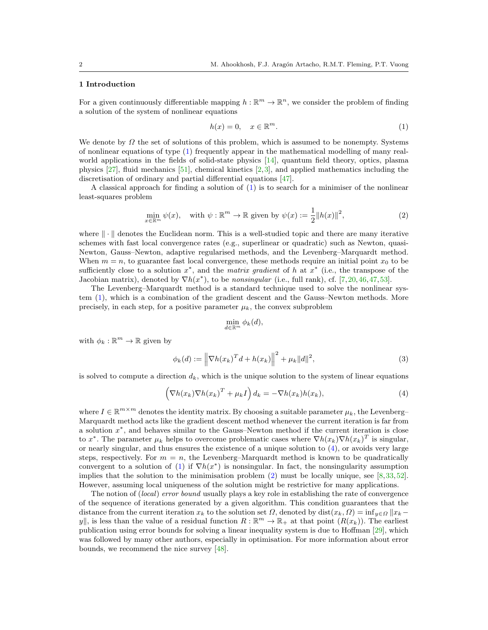## 1 Introduction

For a given continuously differentiable mapping  $h : \mathbb{R}^m \to \mathbb{R}^n$ , we consider the problem of finding a solution of the system of nonlinear equations

<span id="page-1-0"></span>
$$
h(x) = 0, \quad x \in \mathbb{R}^m. \tag{1}
$$

We denote by  $\Omega$  the set of solutions of this problem, which is assumed to be nonempty. Systems of nonlinear equations of type [\(1\)](#page-1-0) frequently appear in the mathematical modelling of many realworld applications in the fields of solid-state physics [\[14\]](#page-28-0), quantum field theory, optics, plasma physics [\[27\]](#page-28-1), fluid mechanics [\[51\]](#page-29-0), chemical kinetics [\[2,](#page-28-2)[3\]](#page-28-3), and applied mathematics including the discretisation of ordinary and partial differential equations [\[47\]](#page-29-1).

A classical approach for finding a solution of [\(1\)](#page-1-0) is to search for a minimiser of the nonlinear least-squares problem

<span id="page-1-2"></span>
$$
\min_{x \in \mathbb{R}^m} \psi(x), \quad \text{with } \psi : \mathbb{R}^m \to \mathbb{R} \text{ given by } \psi(x) := \frac{1}{2} \|h(x)\|^2,
$$
\n
$$
(2)
$$

where  $\|\cdot\|$  denotes the Euclidean norm. This is a well-studied topic and there are many iterative schemes with fast local convergence rates (e.g., superlinear or quadratic) such as Newton, quasi-Newton, Gauss–Newton, adaptive regularised methods, and the Levenberg–Marquardt method. When  $m = n$ , to guarantee fast local convergence, these methods require an initial point  $x_0$  to be sufficiently close to a solution  $x^*$ , and the matrix gradient of h at  $x^*$  (i.e., the transpose of the Jacobian matrix), denoted by  $\nabla h(x^*)$ , to be nonsingular (i.e., full rank), cf. [\[7,](#page-28-4)[20,](#page-28-5)[46,](#page-29-2)[47,](#page-29-1)[53\]](#page-29-3).

The Levenberg–Marquardt method is a standard technique used to solve the nonlinear system [\(1\)](#page-1-0), which is a combination of the gradient descent and the Gauss–Newton methods. More precisely, in each step, for a positive parameter  $\mu_k$ , the convex subproblem

$$
\min_{d \in \mathbb{R}^m} \phi_k(d),
$$

with  $\phi_k : \mathbb{R}^m \to \mathbb{R}$  given by

<span id="page-1-3"></span>
$$
\phi_k(d) := \left\| \nabla h(x_k)^T d + h(x_k) \right\|^2 + \mu_k \|d\|^2,
$$
\n(3)

is solved to compute a direction  $d_k$ , which is the unique solution to the system of linear equations

<span id="page-1-1"></span>
$$
\left(\nabla h(x_k)\nabla h(x_k)^T + \mu_k I\right) d_k = -\nabla h(x_k)h(x_k),\tag{4}
$$

where  $I \in \mathbb{R}^{m \times m}$  denotes the identity matrix. By choosing a suitable parameter  $\mu_k$ , the Levenberg– Marquardt method acts like the gradient descent method whenever the current iteration is far from a solution  $x^*$ , and behaves similar to the Gauss–Newton method if the current iteration is close to  $x^*$ . The parameter  $\mu_k$  helps to overcome problematic cases where  $\nabla h(x_k)\nabla h(x_k)^T$  is singular, or nearly singular, and thus ensures the existence of a unique solution to [\(4\)](#page-1-1), or avoids very large steps, respectively. For  $m = n$ , the Levenberg–Marquardt method is known to be quadratically convergent to a solution of [\(1\)](#page-1-0) if  $\nabla h(x^*)$  is nonsingular. In fact, the nonsingularity assumption implies that the solution to the minimisation problem [\(2\)](#page-1-2) must be locally unique, see [\[8,](#page-28-6)[33,](#page-29-4)[52\]](#page-29-5). However, assuming local uniqueness of the solution might be restrictive for many applications.

The notion of (local) error bound usually plays a key role in establishing the rate of convergence of the sequence of iterations generated by a given algorithm. This condition guarantees that the distance from the current iteration  $x_k$  to the solution set  $\Omega$ , denoted by dist $(x_k, \Omega) = \inf_{y \in \Omega} ||x_k - \Omega||$ y||, is less than the value of a residual function  $R : \mathbb{R}^m \to \mathbb{R}_+$  at that point  $(R(x_k))$ . The earliest publication using error bounds for solving a linear inequality system is due to Hoffman [\[29\]](#page-28-7), which was followed by many other authors, especially in optimisation. For more information about error bounds, we recommend the nice survey [\[48\]](#page-29-6).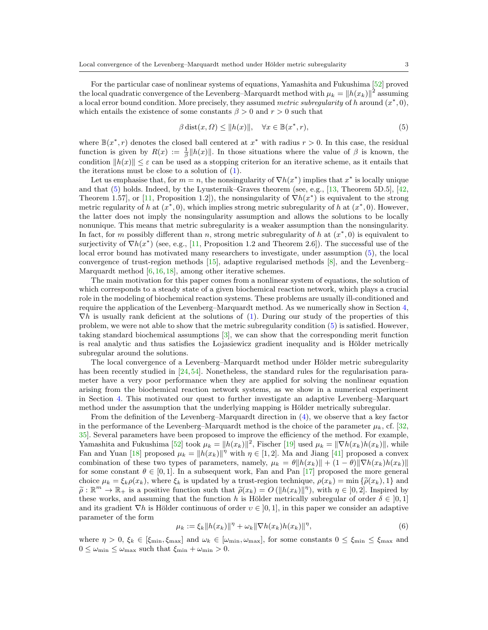For the particular case of nonlinear systems of equations, Yamashita and Fukushima [\[52\]](#page-29-5) proved the local quadratic convergence of the Levenberg–Marquardt method with  $\mu_k = \left\| h(x_k) \right\|^2$  assuming a local error bound condition. More precisely, they assumed metric subregularity of h around  $(x^*,0)$ , which entails the existence of some constants  $\beta > 0$  and  $r > 0$  such that

<span id="page-2-0"></span>
$$
\beta \operatorname{dist}(x, \Omega) \le ||h(x)||, \quad \forall x \in \mathbb{B}(x^*, r), \tag{5}
$$

where  $\mathbb{B}(x^*, r)$  denotes the closed ball centered at  $x^*$  with radius  $r > 0$ . In this case, the residual function is given by  $R(x) := \frac{1}{\beta} ||h(x)||$ . In those situations where the value of  $\beta$  is known, the condition  $||h(x)|| \leq \varepsilon$  can be used as a stopping criterion for an iterative scheme, as it entails that the iterations must be close to a solution of  $(1)$ .

Let us emphasise that, for  $m = n$ , the nonsingularity of  $\nabla h(x^*)$  implies that  $x^*$  is locally unique and that  $(5)$  holds. Indeed, by the Lyusternik–Graves theorem (see, e.g., [\[13,](#page-28-8) Theorem 5D.5], [\[42,](#page-29-7) Theorem 1.57, or [\[11,](#page-28-9) Proposition 1.2]), the nonsingularity of  $\nabla h(x^*)$  is equivalent to the strong metric regularity of h at  $(x^*,0)$ , which implies strong metric subregularity of h at  $(x^*,0)$ . However, the latter does not imply the nonsingularity assumption and allows the solutions to be locally nonunique. This means that metric subregularity is a weaker assumption than the nonsingularity. In fact, for m possibly different than n, strong metric subregularity of h at  $(x^*,0)$  is equivalent to surjectivity of  $\nabla h(x^*)$  (see, e.g., [\[11,](#page-28-9) Proposition 1.2 and Theorem 2.6]). The successful use of the local error bound has motivated many researchers to investigate, under assumption  $(5)$ , the local convergence of trust-region methods [\[15\]](#page-28-10), adaptive regularised methods [\[8\]](#page-28-6), and the Levenberg– Marquardt method [\[6,](#page-28-11)[16,](#page-28-12)[18\]](#page-28-13), among other iterative schemes.

The main motivation for this paper comes from a nonlinear system of equations, the solution of which corresponds to a steady state of a given biochemical reaction network, which plays a crucial role in the modeling of biochemical reaction systems. These problems are usually ill-conditioned and require the application of the Levenberg–Marquardt method. As we numerically show in Section [4,](#page-19-0)  $\nabla h$  is usually rank deficient at the solutions of [\(1\)](#page-1-0). During our study of the properties of this problem, we were not able to show that the metric subregularity condition [\(5\)](#page-2-0) is satisfied. However, taking standard biochemical assumptions [\[3\]](#page-28-3), we can show that the corresponding merit function is real analytic and thus satisfies the Lojasiewicz gradient inequality and is Hölder metrically subregular around the solutions.

The local convergence of a Levenberg–Marquardt method under Hölder metric subregularity has been recently studied in [\[24,](#page-28-14)[54\]](#page-29-8). Nonetheless, the standard rules for the regularisation parameter have a very poor performance when they are applied for solving the nonlinear equation arising from the biochemical reaction network systems, as we show in a numerical experiment in Section [4.](#page-19-0) This motivated our quest to further investigate an adaptive Levenberg–Marquart method under the assumption that the underlying mapping is Hölder metrically subregular.

From the definition of the Levenberg–Marquardt direction in [\(4\)](#page-1-1), we observe that a key factor in the performance of the Levenberg–Marquardt method is the choice of the parameter  $\mu_k$ , cf. [\[32,](#page-28-15) [35\]](#page-29-9). Several parameters have been proposed to improve the efficiency of the method. For example, Yamashita and Fukushima [\[52\]](#page-29-5) took  $\mu_k = ||h(x_k)||^2$ , Fischer [\[19\]](#page-28-16) used  $\mu_k = ||\nabla h(x_k)h(x_k)||$ , while Fan and Yuan [\[18\]](#page-28-13) proposed  $\mu_k = ||h(x_k)||^{\eta}$  with  $\eta \in [1, 2]$ . Ma and Jiang [\[41\]](#page-29-10) proposed a convex combination of these two types of parameters, namely,  $\mu_k = \theta \|h(x_k)\| + (1 - \theta)\|\nabla h(x_k)h(x_k)\|$ for some constant  $\theta \in [0, 1]$ . In a subsequent work, Fan and Pan [\[17\]](#page-28-17) proposed the more general choice  $\mu_k = \xi_k \rho(x_k)$ , where  $\xi_k$  is updated by a trust-region technique,  $\rho(x_k) = \min \{ \tilde{\rho}(x_k), 1 \}$  and  $\widetilde{\rho}: \mathbb{R}^m \to \mathbb{R}_+$  is a positive function such that  $\widetilde{\rho}(x_k) = O(||h(x_k)||^{\eta})$ , with  $\eta \in [0,2]$ . Inspired by these works and assuming that the function h is Hölder metrically subregular of order  $\delta \in [0,1]$ . these works, and assuming that the function h is Hölder metrically subregular of order  $\delta \in [0,1]$ and its gradient  $\nabla h$  is Hölder continuous of order  $v \in [0, 1]$ , in this paper we consider an adaptive parameter of the form

<span id="page-2-1"></span>
$$
\mu_k := \xi_k \|h(x_k)\|^{\eta} + \omega_k \|\nabla h(x_k)h(x_k)\|^{\eta},\tag{6}
$$

where  $\eta > 0$ ,  $\xi_k \in [\xi_{\min}, \xi_{\max}]$  and  $\omega_k \in [\omega_{\min}, \omega_{\max}]$ , for some constants  $0 \leq \xi_{\min} \leq \xi_{\max}$  and  $0 \leq \omega_{\min} \leq \omega_{\max}$  such that  $\xi_{\min} + \omega_{\min} > 0$ .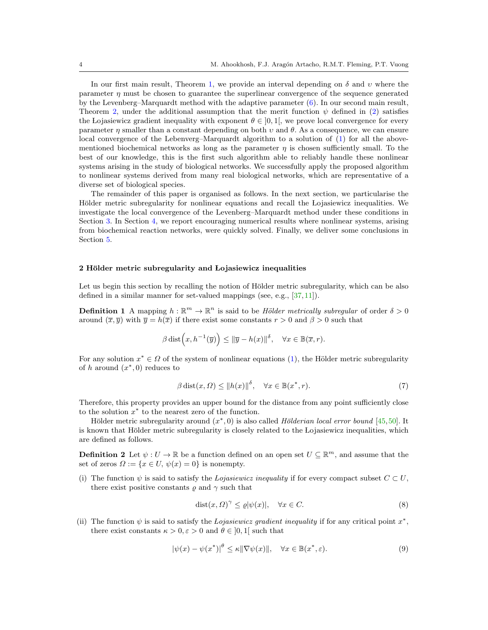In our first main result, Theorem [1,](#page-13-0) we provide an interval depending on  $\delta$  and  $\upsilon$  where the parameter  $\eta$  must be chosen to guarantee the superlinear convergence of the sequence generated by the Levenberg–Marquardt method with the adaptive parameter [\(6\)](#page-2-1). In our second main result, Theorem [2,](#page-16-0) under the additional assumption that the merit function  $\psi$  defined in [\(2\)](#page-1-2) satisfies the Lojasiewicz gradient inequality with exponent  $\theta \in [0,1]$ , we prove local convergence for every parameter  $\eta$  smaller than a constant depending on both  $\nu$  and  $\theta$ . As a consequence, we can ensure local convergence of the Lebenverg–Marquardt algorithm to a solution of [\(1\)](#page-1-0) for all the abovementioned biochemical networks as long as the parameter  $\eta$  is chosen sufficiently small. To the best of our knowledge, this is the first such algorithm able to reliably handle these nonlinear systems arising in the study of biological networks. We successfully apply the proposed algorithm to nonlinear systems derived from many real biological networks, which are representative of a diverse set of biological species.

The remainder of this paper is organised as follows. In the next section, we particularise the Hölder metric subregularity for nonlinear equations and recall the Lojasiewicz inequalities. We investigate the local convergence of the Levenberg–Marquardt method under these conditions in Section [3.](#page-6-0) In Section [4,](#page-19-0) we report encouraging numerical results where nonlinear systems, arising from biochemical reaction networks, were quickly solved. Finally, we deliver some conclusions in Section [5.](#page-24-0)

#### <span id="page-3-3"></span>2 Hölder metric subregularity and Lojasiewicz inequalities

Let us begin this section by recalling the notion of Hölder metric subregularity, which can be also defined in a similar manner for set-valued mappings (see, e.g., [\[37,](#page-29-11)[11\]](#page-28-9)).

**Definition 1** A mapping  $h : \mathbb{R}^m \to \mathbb{R}^n$  is said to be *Hölder metrically subregular* of order  $\delta > 0$ around  $(\overline{x}, \overline{y})$  with  $\overline{y} = h(\overline{x})$  if there exist some constants  $r > 0$  and  $\beta > 0$  such that

$$
\beta \operatorname{dist}\Bigl(x, h^{-1}(\overline{y})\Bigr) \le \|\overline{y} - h(x)\|^\delta, \quad \forall x \in \mathbb{B}(\overline{x}, r).
$$

For any solution  $x^* \in \Omega$  of the system of nonlinear equations [\(1\)](#page-1-0), the Hölder metric subregularity of h around  $(x^*,0)$  reduces to

<span id="page-3-1"></span>
$$
\beta \operatorname{dist}(x, \Omega) \le ||h(x)||^{\delta}, \quad \forall x \in \mathbb{B}(x^*, r). \tag{7}
$$

Therefore, this property provides an upper bound for the distance from any point sufficiently close to the solution  $x^*$  to the nearest zero of the function.

Hölder metric subregularity around  $(x^*,0)$  is also called Hölderian local error bound [\[45,](#page-29-12)[50\]](#page-29-13). It is known that Hölder metric subregularity is closely related to the Lojasiewicz inequalities, which are defined as follows.

**Definition 2** Let  $\psi: U \to \mathbb{R}$  be a function defined on an open set  $U \subseteq \mathbb{R}^m$ , and assume that the set of zeros  $\Omega := \{x \in U, \psi(x) = 0\}$  is nonempty.

(i) The function  $\psi$  is said to satisfy the Lojasiewicz inequality if for every compact subset  $C \subset U$ , there exist positive constants  $\rho$  and  $\gamma$  such that

<span id="page-3-0"></span>
$$
dist(x, \Omega)^{\gamma} \le \varrho |\psi(x)|, \quad \forall x \in C. \tag{8}
$$

(ii) The function  $\psi$  is said to satisfy the *Lojasiewicz gradient inequality* if for any critical point  $x^*$ , there exist constants  $\kappa > 0, \varepsilon > 0$  and  $\theta \in [0, 1]$  such that

<span id="page-3-2"></span>
$$
|\psi(x) - \psi(x^*)|^\theta \le \kappa \|\nabla \psi(x)\|, \quad \forall x \in \mathbb{B}(x^*, \varepsilon). \tag{9}
$$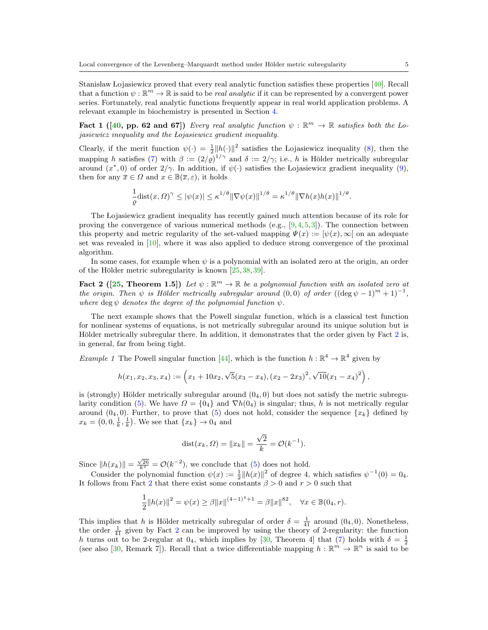Stanisław Lojasiewicz proved that every real analytic function satisfies these properties [\[40\]](#page-29-14). Recall that a function  $\psi : \mathbb{R}^m \to \mathbb{R}$  is said to be *real analytic* if it can be represented by a convergent power series. Fortunately, real analytic functions frequently appear in real world application problems. A relevant example in biochemistry is presented in Section [4.](#page-19-0)

Fact 1 ([\[40,](#page-29-14) pp. 62 and 67]) Every real analytic function  $\psi : \mathbb{R}^m \to \mathbb{R}$  satisfies both the Lojasiewicz inequality and the Lojasiewicz gradient inequality.

Clearly, if the merit function  $\psi(\cdot) = \frac{1}{2} ||h(\cdot)||^2$  satisfies the Lojasiewicz inequality [\(8\)](#page-3-0), then the mapping h satisfies [\(7\)](#page-3-1) with  $\beta := (2/\varrho)^{1/\gamma}$  and  $\delta := 2/\gamma$ ; i.e., h is Hölder metrically subregular around  $(x^*,0)$  of order  $2/\gamma$ . In addition, if  $\psi(\cdot)$  satisfies the Lojasiewicz gradient inequality [\(9\)](#page-3-2), then for any  $\overline{x} \in \Omega$  and  $x \in \mathbb{B}(\overline{x}, \varepsilon)$ , it holds

<span id="page-4-1"></span><span id="page-4-0"></span>
$$
\frac{1}{\varrho} \text{dist}(x,\Omega)^\gamma \le |\psi(x)| \le \kappa^{1/\theta} \|\nabla \psi(x)\|^{1/\theta} = \kappa^{1/\theta} \|\nabla h(x)h(x)\|^{1/\theta}.
$$

The Lojasiewicz gradient inequality has recently gained much attention because of its role for proving the convergence of various numerical methods (e.g.,  $[9,4,5,3]$  $[9,4,5,3]$  $[9,4,5,3]$  $[9,4,5,3]$ ). The connection between this property and metric regularity of the set-valued mapping  $\Psi(x) := [\psi(x), \infty]$  on an adequate set was revealed in [\[10\]](#page-28-21), where it was also applied to deduce strong convergence of the proximal algorithm.

In some cases, for example when  $\psi$  is a polynomial with an isolated zero at the origin, an order of the Hölder metric subregularity is known  $[25,38,39]$  $[25,38,39]$  $[25,38,39]$ .

Fact 2 ([\[25,](#page-28-22) Theorem 1.5]) Let  $\psi : \mathbb{R}^m \to \mathbb{R}$  be a polynomial function with an isolated zero at the origin. Then  $\psi$  is Hölder metrically subregular around  $(0,0)$  of order  $((\deg \psi - 1)^m + 1)^{-1}$ , where deg  $\psi$  denotes the degree of the polynomial function  $\psi$ .

The next example shows that the Powell singular function, which is a classical test function for nonlinear systems of equations, is not metrically subregular around its unique solution but is Hölder metrically subregular there. In addition, it demonstrates that the order given by Fact [2](#page-4-0) is, in general, far from being tight.

*Example 1* The Powell singular function [\[44\]](#page-29-17), which is the function  $h : \mathbb{R}^4 \to \mathbb{R}^4$  given by

$$
h(x_1, x_2, x_3, x_4) := \left(x_1 + 10x_2, \sqrt{5}(x_3 - x_4), (x_2 - 2x_3)^2, \sqrt{10}(x_1 - x_4)^2\right),
$$

is (strongly) Hölder metrically subregular around  $(0<sub>4</sub>, 0)$  but does not satisfy the metric subregu-larity condition [\(5\)](#page-2-0). We have  $\Omega = \{0_4\}$  and  $\nabla h(0_4)$  is singular; thus, h is not metrically regular around  $(0<sub>4</sub>, 0)$ . Further, to prove that [\(5\)](#page-2-0) does not hold, consider the sequence  $\{x_k\}$  defined by  $x_k = (0, 0, \frac{1}{k}, \frac{1}{k})$ . We see that  $\{x_k\} \to 0_4$  and

dist
$$
(x_k, \Omega)
$$
 =  $||x_k|| = \frac{\sqrt{2}}{k} = \mathcal{O}(k^{-1}).$ 

Since  $||h(x_k)|| = \frac{\sqrt{26}}{k^2} = \mathcal{O}(k^{-2})$ , we conclude that [\(5\)](#page-2-0) does not hold.

Consider the polynomial function  $\psi(x) := \frac{1}{2} ||h(x)||^2$  of degree 4, which satisfies  $\psi^{-1}(0) = 0_4$ . It follows from Fact [2](#page-4-0) that there exist some constants  $\beta > 0$  and  $r > 0$  such that

$$
\frac{1}{2}||h(x)||^2 = \psi(x) \ge \beta ||x||^{(4-1)^4 + 1} = \beta ||x||^{82}, \quad \forall x \in \mathbb{B}(0_4, r).
$$

This implies that h is Hölder metrically subregular of order  $\delta = \frac{1}{41}$  around  $(0_4, 0)$ . Nonetheless, the order  $\frac{1}{41}$  given by Fact [2](#page-4-0) can be improved by using the theory of 2-regularity: the function h turns out to be 2-regular at  $0_4$ , which implies by [\[30,](#page-28-23) Theorem 4] that [\(7\)](#page-3-1) holds with  $\delta = \frac{1}{2}$ (see also [\[30,](#page-28-23) Remark 7]). Recall that a twice differentiable mapping  $h : \mathbb{R}^m \to \mathbb{R}^n$  is said to be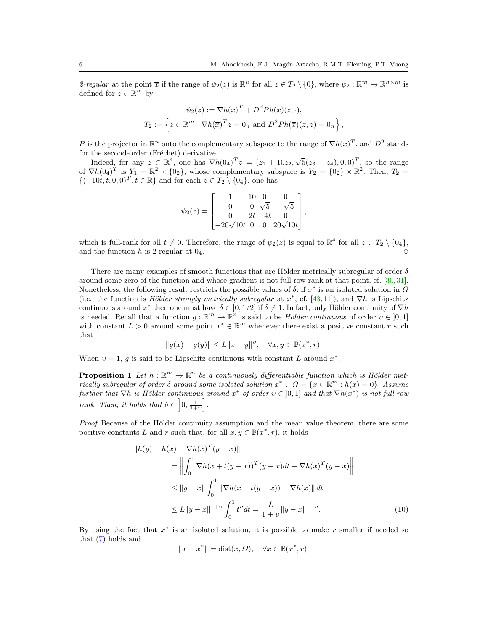2-regular at the point  $\bar{x}$  if the range of  $\psi_2(z)$  is  $\mathbb{R}^n$  for all  $z \in T_2 \setminus \{0\}$ , where  $\psi_2 : \mathbb{R}^m \to \mathbb{R}^{n \times m}$  is defined for  $z \in \mathbb{R}^m$  by

$$
\psi_2(z) := \nabla h(\overline{x})^T + D^2 P h(\overline{x})(z, \cdot),
$$
  
\n
$$
T_2 := \left\{ z \in \mathbb{R}^m \mid \nabla h(\overline{x})^T z = 0_n \text{ and } D^2 P h(\overline{x})(z, z) = 0_n \right\},
$$

P is the projector in  $\mathbb{R}^n$  onto the complementary subspace to the range of  $\nabla h(\overline{x})^T$ , and  $D^2$  stands for the second-order (Fréchet) derivative.

the second-order (Frechet) derivative.<br>Indeed, for any  $z \in \mathbb{R}^4$ , one has  $\nabla h(0_4)^T z = (z_1 + 10z_2, \sqrt{5}(z_3 - z_4), 0, 0)^T$ , so the range of  $\nabla h(0_4)^T$  is  $Y_1 = \mathbb{R}^2 \times \{0_2\}$ , whose complementary subspace is  $Y_2 = \{0_2\} \times \mathbb{R}^2$ . Then,  $T_2 =$  $\{(-10t, t, 0, 0)^T, t \in \mathbb{R}\}\$ and for each  $z \in T_2 \setminus \{0, 1\}$ , one has

$$
\psi_2(z) = \begin{bmatrix} 1 & 10 & 0 & 0 \\ 0 & 0 & \sqrt{5} & -\sqrt{5} \\ 0 & 2t & -4t & 0 \\ -20\sqrt{10}t & 0 & 0 & 20\sqrt{10}t \end{bmatrix},
$$

which is full-rank for all  $t \neq 0$ . Therefore, the range of  $\psi_2(z)$  is equal to  $\mathbb{R}^4$  for all  $z \in T_2 \setminus \{0_4\}$ , and the function h is 2-regular at  $0_4$ .

There are many examples of smooth functions that are Hölder metrically subregular of order  $\delta$ around some zero of the function and whose gradient is not full row rank at that point, cf. [\[30,](#page-28-23)[31\]](#page-28-24). Nonetheless, the following result restricts the possible values of  $\delta$ : if  $x^*$  is an isolated solution in  $\Omega$ (i.e., the function is Hölder strongly metrically subregular at  $x^*$ , cf. [\[43,](#page-29-18)[11\]](#page-28-9)), and  $\nabla h$  is Lipschitz continuous around  $x^*$  then one must have  $\delta \in [0, 1/2]$  if  $\delta \neq 1$ . In fact, only Hölder continuity of  $\nabla h$ is needed. Recall that a function  $g : \mathbb{R}^m \to \mathbb{R}^n$  is said to be *Hölder continuous* of order  $v \in [0,1]$ with constant  $L > 0$  around some point  $x^* \in \mathbb{R}^m$  whenever there exist a positive constant r such that

$$
||g(x) - g(y)|| \le L||x - y||^{v}, \quad \forall x, y \in \mathbb{B}(x^*, r).
$$

<span id="page-5-0"></span>When  $v = 1$ , g is said to be Lipschitz continuous with constant L around  $x^*$ .

**Proposition 1** Let  $h : \mathbb{R}^m \to \mathbb{R}^n$  be a continuously differentiable function which is Hölder metrically subregular of order  $\delta$  around some isolated solution  $x^* \in \Omega = \{x \in \mathbb{R}^m : h(x) = 0\}$ . Assume further that  $\nabla h$  is Hölder continuous around  $x^*$  of order  $v \in ]0,1]$  and that  $\nabla h(x^*)$  is not full row rank. Then, it holds that  $\delta \in [0, \frac{1}{1+v}].$ 

Proof Because of the Hölder continuity assumption and the mean value theorem, there are some positive constants L and r such that, for all  $x, y \in \mathbb{B}(x^*, r)$ , it holds

$$
\|h(y) - h(x) - \nabla h(x)^T (y - x)\|
$$
  
\n
$$
= \left\| \int_0^1 \nabla h(x + t(y - x))^T (y - x) dt - \nabla h(x)^T (y - x) \right\|
$$
  
\n
$$
\leq \|y - x\| \int_0^1 \|\nabla h(x + t(y - x)) - \nabla h(x)\| dt
$$
  
\n
$$
\leq L \|y - x\|^{1+v} \int_0^1 t^v dt = \frac{L}{1+v} \|y - x\|^{1+v}.
$$
 (10)

By using the fact that  $x^*$  is an isolated solution, it is possible to make r smaller if needed so that [\(7\)](#page-3-1) holds and

<span id="page-5-1"></span>
$$
||x - x^*|| = \text{dist}(x, \Omega), \quad \forall x \in \mathbb{B}(x^*, r).
$$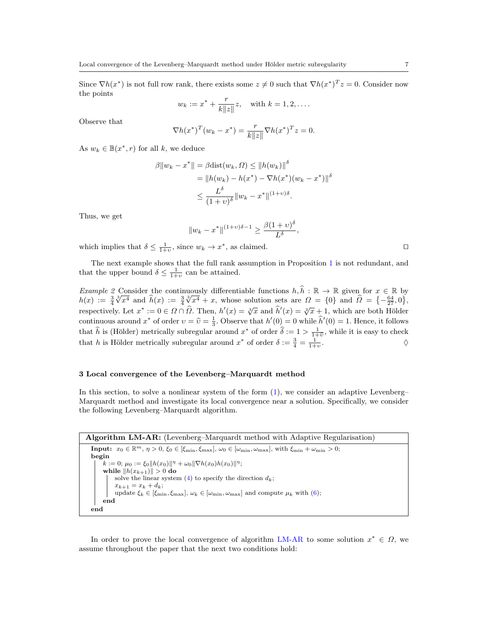Since  $\nabla h(x^*)$  is not full row rank, there exists some  $z \neq 0$  such that  $\nabla h(x^*)^T z = 0$ . Consider now the points

$$
w_k := x^* + \frac{r}{k||z||}z
$$
, with  $k = 1, 2, ...$ 

Observe that

$$
\nabla h(x^*)^T (w_k - x^*) = \frac{r}{k||z||} \nabla h(x^*)^T z = 0.
$$

As  $w_k \in B(x^*, r)$  for all k, we deduce

$$
\beta \|w_k - x^*\| = \beta \text{dist}(w_k, \Omega) \le \|h(w_k)\|^{\delta}
$$
  
=  $\|h(w_k) - h(x^*) - \nabla h(x^*)(w_k - x^*)\|^{\delta}$   
 $\le \frac{L^{\delta}}{(1 + v)^{\delta}} \|w_k - x^*\|^{(1 + v)\delta}.$ 

Thus, we get

$$
||w_k - x^*||^{(1+v)\delta - 1} \ge \frac{\beta(1+v)^{\delta}}{L^{\delta}},
$$

which implies that  $\delta \leq \frac{1}{1+v}$ , since  $w_k \to x^*$ , as claimed.

The next example shows that the full rank assumption in Proposition [1](#page-5-0) is not redundant, and that the upper bound  $\delta \leq \frac{1}{1+v}$  can be attained.

<span id="page-6-2"></span>*Example 2* Consider the continuously differentiable functions  $h, \hat{h} : \mathbb{R} \to \mathbb{R}$  given for  $x \in \mathbb{R}$  by  $h(x) := \frac{3}{4}$ Consider the continual  $\hat{\delta}(x) := \frac{3}{4}$ whose solution sets are  $\Omega = \{0\}$  and  $\widehat{\Omega} = \{-\frac{64}{27}, 0\}$ , respectively. Let  $x^* := 0 \in \Omega \cap \hat{\Omega}$ . Then,  $h'(x) = \sqrt[3]{x}$  and  $\hat{h}'(x) = \sqrt[3]{x} \pm 1$ , which are both Hölder continuous around  $x^*$  of order  $v = \hat{v} = \frac{1}{3}$ . Observe that  $h'(0) = 0$  while  $\hat{h}'(0) = 1$ . Hence, it follows that  $\hat{h}$  is (Hölder) metrically subregular around  $x^*$  of order  $\hat{\delta} := 1 > \frac{1}{1+\hat{v}}$ , while it is easy to check that h is Hölder metrically subregular around  $x^*$  of order  $\delta := \frac{3}{4} = \frac{1}{1+v}$ .  $\Diamond$ 

# <span id="page-6-0"></span>3 Local convergence of the Levenberg–Marquardt method

In this section, to solve a nonlinear system of the form [\(1\)](#page-1-0), we consider an adaptive Levenberg– Marquardt method and investigate its local convergence near a solution. Specifically, we consider the following Levenberg–Marquardt algorithm.

Algorithm LM-AR: (Levenberg–Marquardt method with Adaptive Regularisation) **Input:**  $x_0 \in \mathbb{R}^m$ ,  $\eta > 0$ ,  $\xi_0 \in [\xi_{\min}, \xi_{\max}]$ ,  $\omega_0 \in [\omega_{\min}, \omega_{\max}]$ , with  $\xi_{\min} + \omega_{\min} > 0$ ; begin  $k := 0; \mu_0 := \xi_0 \|h(x_0)\|^{\eta} + \omega_0 \|\nabla h(x_0)h(x_0)\|^{\eta};$ while  $\|h(x_{k+1})\| > 0$  do solve the linear system [\(4\)](#page-1-1) to specify the direction  $d_k$ ;  $x_{k+1} = x_k + d_k;$ update  $\xi_k \in [\xi_{\min}, \xi_{\max}], \omega_k \in [\omega_{\min}, \omega_{\max}]$  and compute  $\mu_k$  with [\(6\)](#page-2-1); end end

<span id="page-6-1"></span>In order to prove the local convergence of algorithm [LM-AR](#page-6-1) to some solution  $x^* \in \Omega$ , we assume throughout the paper that the next two conditions hold: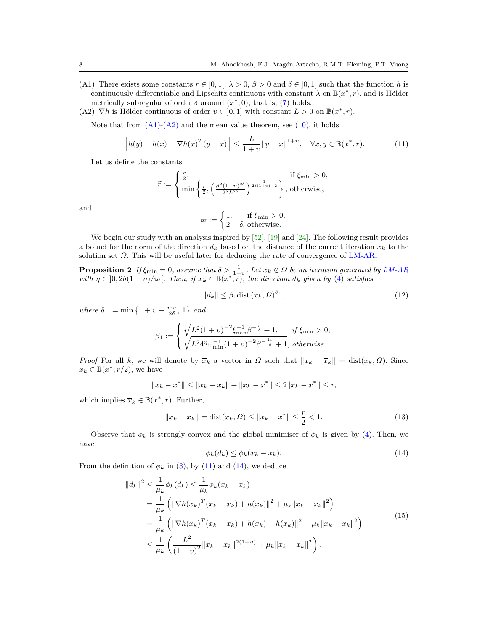- (A1) There exists some constants  $r \in [0,1], \lambda > 0, \beta > 0$  and  $\delta \in [0,1]$  such that the function h is continuously differentiable and Lipschitz continuous with constant  $\lambda$  on  $\mathbb{B}(x^*, r)$ , and is Hölder metrically subregular of order  $\delta$  around  $(x^*,0)$ ; that is, [\(7\)](#page-3-1) holds.
- (A2)  $\nabla h$  is Hölder continuous of order  $v \in [0,1]$  with constant  $L > 0$  on  $\mathbb{B}(x^*, r)$ .

Note that from  $(A1)-(A2)$  and the mean value theorem, see  $(10)$ , it holds

<span id="page-7-0"></span>
$$
\left\| h(y) - h(x) - \nabla h(x)^T (y - x) \right\| \le \frac{L}{1 + v} \|y - x\|^{1 + v}, \quad \forall x, y \in \mathbb{B}(x^*, r). \tag{11}
$$

Let us define the constants

$$
\widetilde{r} := \begin{cases} \frac{r}{2}, & \text{if } \xi_{\min} > 0, \\ \min \left\{ \frac{r}{2}, \left( \frac{\beta^2 (1+v)^{2\delta}}{2^{\delta} L^{2\delta}} \right)^{\frac{1}{2\delta(1+v)-2}} \right\}, & \text{otherwise,} \end{cases}
$$

and

$$
\varpi := \begin{cases} 1, & \text{if } \xi_{\min} > 0, \\ 2 - \delta, & \text{otherwise.} \end{cases}
$$

We begin our study with an analysis inspired by [\[52\]](#page-29-5), [\[19\]](#page-28-16) and [\[24\]](#page-28-14). The following result provides a bound for the norm of the direction  $d_k$  based on the distance of the current iteration  $x_k$  to the solution set  $\Omega$ . This will be useful later for deducing the rate of convergence of [LM-AR.](#page-6-1)

**Proposition 2** If  $\xi_{\min} = 0$ , assume that  $\delta > \frac{1}{1+v}$ . Let  $x_k \notin \Omega$  be an iteration generated by [LM-AR](#page-6-1) with  $\eta \in ]0, 2\delta(1+v)/\varpi[$ . Then, if  $x_k \in \mathbb{B}(x^*, \hat{r})$ , the direction  $d_k$  given by [\(4\)](#page-1-1) satisfies

<span id="page-7-5"></span><span id="page-7-2"></span>
$$
||d_k|| \leq \beta_1 \text{dist}\left(x_k, \Omega\right)^{\delta_1},\tag{12}
$$

where  $\delta_1 := \min\left\{1 + \upsilon - \frac{\eta \varpi}{2\delta}, 1\right\}$  and

$$
\beta_1 := \begin{cases} \sqrt{L^2(1+v)^{-2} \xi_{\min}^{-1} \beta^{-\frac{\eta}{\delta}} + 1}, & \text{if } \xi_{\min} > 0, \\ \sqrt{L^2 4^{\eta} \omega_{\min}^{-1} (1+v)^{-2} \beta^{-\frac{2\eta}{\delta}} + 1}, & \text{otherwise.} \end{cases}
$$

*Proof* For all k, we will denote by  $\bar{x}_k$  a vector in  $\Omega$  such that  $||x_k - \bar{x}_k|| = \text{dist}(x_k, \Omega)$ . Since  $x_k \in \mathbb{B}(x^*, r/2)$ , we have

$$
\|\overline{x}_k - x^*\| \le \|\overline{x}_k - x_k\| + \|x_k - x^*\| \le 2\|x_k - x^*\| \le r,
$$

which implies  $\overline{x}_k \in \mathbb{B}(x^*, r)$ . Further,

<span id="page-7-4"></span>
$$
\|\overline{x}_k - x_k\| = \text{dist}(x_k, \Omega) \le \|x_k - x^*\| \le \frac{r}{2} < 1. \tag{13}
$$

Observe that  $\phi_k$  is strongly convex and the global minimiser of  $\phi_k$  is given by [\(4\)](#page-1-1). Then, we have

<span id="page-7-1"></span>
$$
\phi_k(d_k) \le \phi_k(\overline{x}_k - x_k). \tag{14}
$$

<span id="page-7-3"></span>From the definition of  $\phi_k$  in [\(3\)](#page-1-3), by [\(11\)](#page-7-0) and [\(14\)](#page-7-1), we deduce

$$
||d_k||^2 \le \frac{1}{\mu_k} \phi_k(d_k) \le \frac{1}{\mu_k} \phi_k(\overline{x}_k - x_k)
$$
  
=  $\frac{1}{\mu_k} \left( ||\nabla h(x_k)^T (\overline{x}_k - x_k) + h(x_k)||^2 + \mu_k ||\overline{x}_k - x_k||^2 \right)$   
=  $\frac{1}{\mu_k} \left( ||\nabla h(x_k)^T (\overline{x}_k - x_k) + h(x_k) - h(\overline{x}_k)||^2 + \mu_k ||\overline{x}_k - x_k||^2 \right)$   
 $\le \frac{1}{\mu_k} \left( \frac{L^2}{(1+v)^2} ||\overline{x}_k - x_k||^{2(1+v)} + \mu_k ||\overline{x}_k - x_k||^2 \right).$  (15)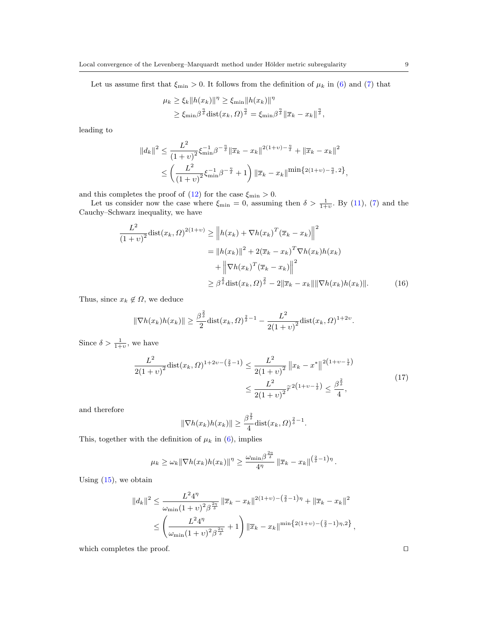Let us assume first that  $\xi_{\text{min}} > 0$ . It follows from the definition of  $\mu_k$  in [\(6\)](#page-2-1) and [\(7\)](#page-3-1) that

$$
\mu_k \ge \xi_k \|h(x_k)\|^{\eta} \ge \xi_{\min} \|h(x_k)\|^{\eta}
$$
  

$$
\ge \xi_{\min} \beta^{\frac{\eta}{\delta}} \text{dist}(x_k, \Omega)^{\frac{\eta}{\delta}} = \xi_{\min} \beta^{\frac{\eta}{\delta}} \|\overline{x}_k - x_k\|^{\frac{\eta}{\delta}},
$$

leading to

$$
||d_k||^2 \le \frac{L^2}{(1+v)^2} \xi_{\min}^{-1} \beta^{-\frac{\eta}{\delta}} ||\overline{x}_k - x_k||^{2(1+v) - \frac{\eta}{\delta}} + ||\overline{x}_k - x_k||^2
$$
  

$$
\le \left(\frac{L^2}{(1+v)^2} \xi_{\min}^{-1} \beta^{-\frac{\eta}{\delta}} + 1\right) ||\overline{x}_k - x_k||^{\min\{2(1+v) - \frac{\eta}{\delta}, 2\}},
$$

and this completes the proof of  $(12)$  for the case  $\xi_{\text{min}} > 0$ .

Let us consider now the case where  $\xi_{\min} = 0$ , assuming then  $\delta > \frac{1}{1+v}$ . By [\(11\)](#page-7-0), [\(7\)](#page-3-1) and the Cauchy–Schwarz inequality, we have

$$
\frac{L^2}{(1+v)^2} \text{dist}(x_k, \Omega)^{2(1+v)} \ge \left\| h(x_k) + \nabla h(x_k)^T (\overline{x}_k - x_k) \right\|^2
$$

$$
= \| h(x_k) \|^2 + 2(\overline{x}_k - x_k)^T \nabla h(x_k) h(x_k)
$$

$$
+ \left\| \nabla h(x_k)^T (\overline{x}_k - x_k) \right\|^2
$$

$$
\ge \beta^{\frac{2}{5}} \text{dist}(x_k, \Omega)^{\frac{2}{5}} - 2\|\overline{x}_k - x_k\| \|\nabla h(x_k) h(x_k)\|.
$$
(16)

Thus, since  $x_k \notin \Omega$ , we deduce

$$
\|\nabla h(x_k)h(x_k)\| \ge \frac{\beta^{\frac{2}{\delta}}}{2} \text{dist}(x_k, \Omega)^{\frac{2}{\delta}-1} - \frac{L^2}{2(1+v)^2} \text{dist}(x_k, \Omega)^{1+2\upsilon}.
$$

<span id="page-8-1"></span>Since  $\delta > \frac{1}{1+v}$ , we have

$$
\frac{L^2}{2(1+v)^2} \text{dist}(x_k, \Omega)^{1+2\upsilon - \left(\frac{2}{\delta} - 1\right)} \le \frac{L^2}{2(1+v)^2} \left\|x_k - x^*\right\|^{2\left(1+v - \frac{1}{\delta}\right)} \le \frac{L^2}{2(1+v)^2} \tilde{r}^{2\left(1+v - \frac{1}{\delta}\right)} \le \frac{\beta^{\frac{2}{\delta}}}{4},\tag{17}
$$

and therefore

<span id="page-8-0"></span>
$$
\|\nabla h(x_k)h(x_k)\| \ge \frac{\beta^{\frac{2}{\delta}}}{4} \text{dist}(x_k, \Omega)^{\frac{2}{\delta} - 1}.
$$

This, together with the definition of  $\mu_k$  in [\(6\)](#page-2-1), implies

$$
\mu_k \geq \omega_k \|\nabla h(x_k)h(x_k)\|^{\eta} \geq \frac{\omega_{\min}\beta^{\frac{2\eta}{\delta}}}{4^{\eta}} \|\overline{x}_k - x_k\|^{(\frac{2}{\delta}-1)\eta}.
$$

Using  $(15)$ , we obtain

$$
||d_k||^2 \le \frac{L^2 4^{\eta}}{\omega_{\min}(1+v)^2 \beta^{\frac{2\eta}{\delta}}} ||\overline{x}_k - x_k||^{2(1+v) - (\frac{2}{\delta} - 1)\eta} + ||\overline{x}_k - x_k||^2
$$
  

$$
\le \left(\frac{L^2 4^{\eta}}{\omega_{\min}(1+v)^2 \beta^{\frac{2\eta}{\delta}}} + 1\right) ||\overline{x}_k - x_k||^{\min\{2(1+v) - (\frac{2}{\delta} - 1)\eta, 2\}},
$$

which completes the proof.  $\hfill \square$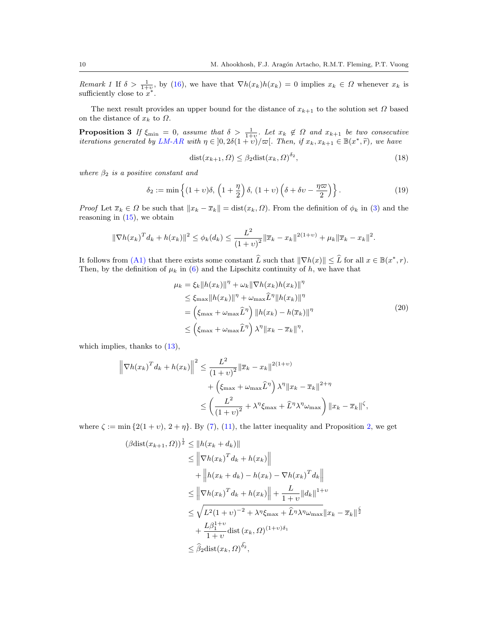Remark 1 If  $\delta > \frac{1}{1+v}$ , by [\(16\)](#page-8-0), we have that  $\nabla h(x_k)h(x_k) = 0$  implies  $x_k \in \Omega$  whenever  $x_k$  is sufficiently close to  $x^*$ .

The next result provides an upper bound for the distance of  $x_{k+1}$  to the solution set  $\Omega$  based on the distance of  $x_k$  to  $\Omega$ .

**Proposition 3** If  $\xi_{\min} = 0$ , assume that  $\delta > \frac{1}{1+v}$ . Let  $x_k \notin \Omega$  and  $x_{k+1}$  be two consecutive iterations generated by [LM-AR](#page-6-1) with  $\eta \in (0, 2\delta(1+v)/\varpi[$ . Then, if  $x_k, x_{k+1} \in \mathbb{B}(x^*, \tilde{r})$ , we have

<span id="page-9-3"></span><span id="page-9-1"></span>
$$
dist(x_{k+1}, \Omega) \le \beta_2 dist(x_k, \Omega)^{\delta_2}, \tag{18}
$$

where  $\beta_2$  is a positive constant and

<span id="page-9-0"></span>
$$
\delta_2 := \min\left\{ (1+v)\delta, \left(1+\frac{\eta}{2}\right)\delta, \left(1+v\right)\left(\delta + \delta v - \frac{\eta \varpi}{2}\right) \right\}.
$$
\n(19)

*Proof* Let  $\bar{x}_k \in \Omega$  be such that  $||x_k - \bar{x}_k|| = \text{dist}(x_k, \Omega)$ . From the definition of  $\phi_k$  in [\(3\)](#page-1-3) and the reasoning in  $(15)$ , we obtain

$$
\|\nabla h(x_k)^T d_k + h(x_k)\|^2 \leq \phi_k(d_k) \leq \frac{L^2}{(1+v)^2} \|\overline{x}_k - x_k\|^{2(1+v)} + \mu_k \|\overline{x}_k - x_k\|^2.
$$

It follows from [\(A1\)](#page-6-1) that there exists some constant  $\widehat{L}$  such that  $\|\nabla h(x)\| \leq \widehat{L}$  for all  $x \in \mathbb{B}(x^*, r)$ . Then, by the definition of  $\mu_k$  in [\(6\)](#page-2-1) and the Lipschitz continuity of h, we have that

$$
\mu_k = \xi_k \|h(x_k)\|^{\eta} + \omega_k \|\nabla h(x_k)h(x_k)\|^{\eta}
$$
  
\n
$$
\leq \xi_{\max} \|h(x_k)\|^{\eta} + \omega_{\max} \widehat{L}^{\eta} \|h(x_k)\|^{\eta}
$$
  
\n
$$
= \left(\xi_{\max} + \omega_{\max} \widehat{L}^{\eta}\right) \|h(x_k) - h(\overline{x}_k)\|^{\eta}
$$
  
\n
$$
\leq \left(\xi_{\max} + \omega_{\max} \widehat{L}^{\eta}\right) \lambda^{\eta} \|x_k - \overline{x}_k\|^{\eta},
$$
\n(20)

<span id="page-9-2"></span>which implies, thanks to  $(13)$ ,

$$
\left\| \nabla h(x_k)^T d_k + h(x_k) \right\|^2 \le \frac{L^2}{(1+v)^2} \left\| \overline{x}_k - x_k \right\|^{2(1+v)} + \left( \xi_{\text{max}} + \omega_{\text{max}} \widehat{L}^{\eta} \right) \lambda^{\eta} \left\| x_k - \overline{x}_k \right\|^{2+\eta} \le \left( \frac{L^2}{(1+v)^2} + \lambda^{\eta} \xi_{\text{max}} + \widehat{L}^{\eta} \lambda^{\eta} \omega_{\text{max}} \right) \left\| x_k - \overline{x}_k \right\|^{\zeta},
$$

where  $\zeta := \min \{2(1 + v), 2 + \eta\}$ . By [\(7\)](#page-3-1), [\(11\)](#page-7-0), the latter inequality and Proposition [2,](#page-7-5) we get

$$
(\beta \operatorname{dist}(x_{k+1}, \Omega))^{\frac{1}{\delta}} \leq ||h(x_k + d_k)||
$$
  
\n
$$
\leq \left\|\nabla h(x_k)^T d_k + h(x_k)\right\|
$$
  
\n
$$
+ \left\|h(x_k + d_k) - h(x_k) - \nabla h(x_k)^T d_k\right\|
$$
  
\n
$$
\leq \left\|\nabla h(x_k)^T d_k + h(x_k)\right\| + \frac{L}{1+v} ||d_k||^{1+v}
$$
  
\n
$$
\leq \sqrt{L^2 (1+v)^{-2} + \lambda^n \xi_{\max} + \hat{L}^n \lambda^n \omega_{\max}} ||x_k - \overline{x}_k||^{\frac{\delta}{2}}
$$
  
\n
$$
+ \frac{L\beta_1^{1+v}}{1+v} \operatorname{dist}(x_k, \Omega)^{(1+v)\delta_1}
$$
  
\n
$$
\leq \hat{\beta}_2 \operatorname{dist}(x_k, \Omega)^{\delta_2},
$$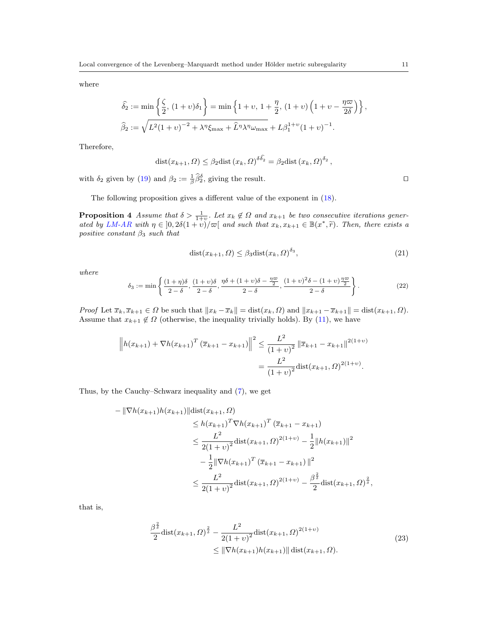where

$$
\hat{\delta}_2 := \min\left\{\frac{\zeta}{2}, (1+v)\delta_1\right\} = \min\left\{1+v, 1+\frac{\eta}{2}, (1+v)\left(1+v-\frac{\eta\omega}{2\delta}\right)\right\},\
$$
  

$$
\hat{\beta}_2 := \sqrt{L^2(1+v)^{-2} + \lambda^{\eta}\zeta_{\text{max}} + \hat{L}^{\eta}\lambda^{\eta}\omega_{\text{max}}} + L\beta_1^{1+v}(1+v)^{-1}.
$$

Therefore,

$$
dist(x_{k+1}, \Omega) \leq \beta_2 \text{dist}\left(x_k, \Omega\right)^{\delta \delta_2} = \beta_2 \text{dist}\left(x_k, \Omega\right)^{\delta_2},
$$

with  $\delta_2$  given by [\(19\)](#page-9-0) and  $\beta_2 := \frac{1}{\beta} \widehat{\beta}_2^{\delta}$ , giving the result.

The following proposition gives a different value of the exponent in [\(18\)](#page-9-1).

**Proposition 4** Assume that  $\delta > \frac{1}{1+v}$ . Let  $x_k \notin \Omega$  and  $x_{k+1}$  be two consecutive iterations gener-ated by [LM-AR](#page-6-1) with  $\eta \in [0, 2\delta(1+v)/\varpi[$  and such that  $x_k, x_{k+1} \in \mathbb{B}(x^*, \tilde{r})$ . Then, there exists a positive constant  $\beta_2$  such that positive constant  $\beta_3$  such that

<span id="page-10-2"></span>
$$
dist(x_{k+1}, \Omega) \le \beta_3 dist(x_k, \Omega)^{\delta_3},\tag{21}
$$

where

<span id="page-10-1"></span>
$$
\delta_3 := \min\left\{\frac{(1+\eta)\delta}{2-\delta}, \frac{(1+\nu)\delta}{2-\delta}, \frac{\eta\delta + (1+\nu)\delta - \frac{\eta\varpi}{2}}{2-\delta}, \frac{(1+\nu)^2\delta - (1+\nu)\frac{\eta\varpi}{2}}{2-\delta}\right\}.
$$
\n(22)

Proof Let  $\overline{x}_k, \overline{x}_{k+1} \in \Omega$  be such that  $||x_k - \overline{x}_k|| = \text{dist}(x_k, \Omega)$  and  $||x_{k+1} - \overline{x}_{k+1}|| = \text{dist}(x_{k+1}, \Omega)$ . Assume that  $x_{k+1} \notin \Omega$  (otherwise, the inequality trivially holds). By [\(11\)](#page-7-0), we have

$$
\left\| h(x_{k+1}) + \nabla h(x_{k+1})^T \left( \overline{x}_{k+1} - x_{k+1} \right) \right\|^2 \le \frac{L^2}{(1+v)^2} \left\| \overline{x}_{k+1} - x_{k+1} \right\|^{2(1+v)} = \frac{L^2}{(1+v)^2} \text{dist}(x_{k+1}, \Omega)^{2(1+v)}.
$$

Thus, by the Cauchy–Schwarz inequality and [\(7\)](#page-3-1), we get

$$
-\|\nabla h(x_{k+1})h(x_{k+1})\|\text{dist}(x_{k+1},\Omega) \\
\leq h(x_{k+1})^T \nabla h(x_{k+1})^T (\overline{x}_{k+1} - x_{k+1}) \\
\leq \frac{L^2}{2(1+v)^2} \text{dist}(x_{k+1},\Omega)^{2(1+v)} - \frac{1}{2} \|h(x_{k+1})\|^2 \\
-\frac{1}{2} \|\nabla h(x_{k+1})^T (\overline{x}_{k+1} - x_{k+1})\|^2 \\
\leq \frac{L^2}{2(1+v)^2} \text{dist}(x_{k+1},\Omega)^{2(1+v)} - \frac{\beta^{\frac{2}{\delta}}}{2} \text{dist}(x_{k+1},\Omega)^{\frac{2}{\delta}},
$$

<span id="page-10-0"></span>that is,

$$
\frac{\beta^{\frac{2}{\delta}}}{2} \text{dist}(x_{k+1}, \Omega)^{\frac{2}{\delta}} - \frac{L^2}{2(1+v)^2} \text{dist}(x_{k+1}, \Omega)^{2(1+v)} \le ||\nabla h(x_{k+1})h(x_{k+1})|| \text{dist}(x_{k+1}, \Omega). \tag{23}
$$

<span id="page-10-3"></span>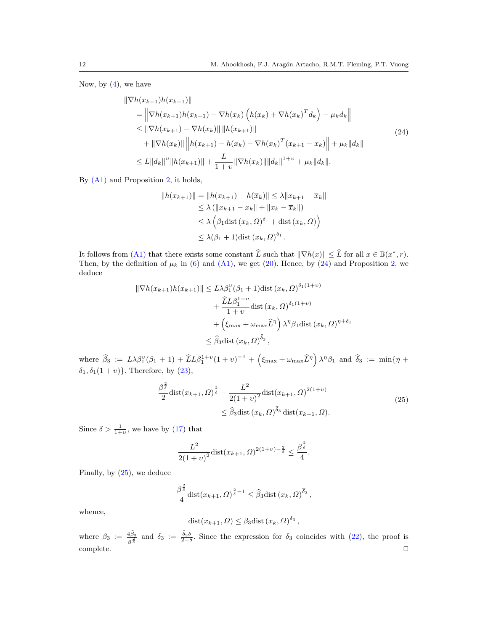<span id="page-11-0"></span>Now, by  $(4)$ , we have

$$
\|\nabla h(x_{k+1})h(x_{k+1})\|
$$
\n
$$
= \left\|\nabla h(x_{k+1})h(x_{k+1}) - \nabla h(x_k)\left(h(x_k) + \nabla h(x_k)^T d_k\right) - \mu_k d_k\right\|
$$
\n
$$
\leq \|\nabla h(x_{k+1}) - \nabla h(x_k)\| \|h(x_{k+1})\|
$$
\n
$$
+ \|\nabla h(x_k)\| \|h(x_{k+1}) - h(x_k) - \nabla h(x_k)^T (x_{k+1} - x_k)\| + \mu_k \|d_k\|
$$
\n
$$
\leq L \|d_k\|^{\nu} \|h(x_{k+1})\| + \frac{L}{1+\nu} \|\nabla h(x_k)\| \|d_k\|^{1+\nu} + \mu_k \|d_k\|.
$$
\n(24)

By [\(A1\)](#page-6-1) and Proposition [2,](#page-7-5) it holds,

$$
||h(x_{k+1})|| = ||h(x_{k+1}) - h(\overline{x}_k)|| \le \lambda ||x_{k+1} - \overline{x}_k||
$$
  
\n
$$
\le \lambda (||x_{k+1} - x_k|| + ||x_k - \overline{x}_k||)
$$
  
\n
$$
\le \lambda \left(\beta_1 \text{dist} (x_k, \Omega)^{\delta_1} + \text{dist} (x_k, \Omega)\right)
$$
  
\n
$$
\le \lambda (\beta_1 + 1) \text{dist} (x_k, \Omega)^{\delta_1}.
$$

It follows from [\(A1\)](#page-6-1) that there exists some constant  $\hat{L}$  such that  $\|\nabla h(x)\| \leq \hat{L}$  for all  $x \in \mathbb{B}(x^*, r)$ . Then, by the definition of  $\mu_k$  in [\(6\)](#page-2-1) and [\(A1\),](#page-6-1) we get [\(20\)](#page-9-2). Hence, by [\(24\)](#page-11-0) and Proposition [2,](#page-7-5) we deduce

$$
\|\nabla h(x_{k+1})h(x_{k+1})\| \le L\lambda \beta_1^{\nu}(\beta_1 + 1)\text{dist}(x_k, \Omega)^{\delta_1(1+\nu)} + \frac{\widehat{L}L\beta_1^{1+\nu}}{1+\nu} \text{dist}(x_k, \Omega)^{\delta_1(1+\nu)} + \left(\xi_{\max} + \omega_{\max}\widehat{L}^{\eta}\right)\lambda^{\eta}\beta_1\text{dist}(x_k, \Omega)^{\eta+\delta_1} \le \widehat{\beta}_3\text{dist}(x_k, \Omega)^{\widehat{\delta}_3},
$$

where  $\hat{\beta}_3 := L\lambda\beta_1^{\nu}(\beta_1 + 1) + \hat{L}L\beta_1^{1+\nu}(1+\nu)^{-1} + \left(\xi_{\max} + \omega_{\max}\hat{L}^{\eta}\right)\lambda^{\eta}\beta_1$  and  $\hat{\delta}_3 := \min\{\eta + \hat{L}\hat{L}\hat{\beta}_1^{\eta}\}$  $\delta_1, \delta_1(1 + v)$ . Therefore, by [\(23\)](#page-10-0),

$$
\frac{\beta^{\frac{2}{\delta}}}{2} \text{dist}(x_{k+1}, \Omega)^{\frac{2}{\delta}} - \frac{L^2}{2(1+v)^2} \text{dist}(x_{k+1}, \Omega)^{2(1+v)} \le \widehat{\beta}_3 \text{dist}(x_k, \Omega)^{\widehat{\delta}_3} \text{dist}(x_{k+1}, \Omega). \tag{25}
$$

<span id="page-11-1"></span>Since  $\delta > \frac{1}{1+v}$ , we have by [\(17\)](#page-8-1) that

$$
\frac{L^2}{2(1+v)^2} \text{dist}(x_{k+1}, \Omega)^{2(1+v)-\frac{2}{\delta}} \le \frac{\beta^{\frac{2}{\delta}}}{4}.
$$

Finally, by [\(25\)](#page-11-1), we deduce

$$
\frac{\beta^{\frac{2}{\delta}}}{4} \text{dist}(x_{k+1}, \Omega)^{\frac{2}{\delta}-1} \leq \widehat{\beta}_3 \text{dist}(x_k, \Omega)^{\widehat{\delta}_3},
$$

whence,

$$
dist(x_{k+1}, \Omega) \leq \beta_3 \text{dist}\left(x_k, \Omega\right)^{\delta_3},
$$

<span id="page-11-2"></span>where  $\beta_3 := \frac{4\beta_3}{\beta_3^2}$  and  $\delta_3 := \frac{\delta_3 \delta}{2-\delta}$ . Since the expression for  $\delta_3$  coincides with [\(22\)](#page-10-1), the proof is  $\Box$ complete.  $\Box$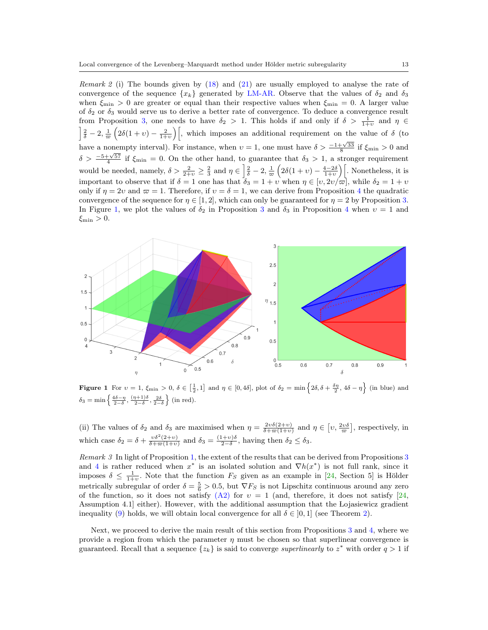Remark 2 (i) The bounds given by  $(18)$  and  $(21)$  are usually employed to analyse the rate of convergence of the sequence  $\{x_k\}$  generated by [LM-AR.](#page-6-1) Observe that the values of  $\delta_2$  and  $\delta_3$ when  $\xi_{\text{min}} > 0$  are greater or equal than their respective values when  $\xi_{\text{min}} = 0$ . A larger value of  $\delta_2$  or  $\delta_3$  would serve us to derive a better rate of convergence. To deduce a convergence result from Proposition [3,](#page-9-3) one needs to have  $\delta_2 > 1$ . This holds if and only if  $\delta > \frac{1}{1+v}$  and  $\eta \in$  $\frac{2}{\delta}$  - 2,  $\frac{1}{\infty}$   $\left(2\delta(1+v)-\frac{2}{1+v}\right)$ , which imposes an additional requirement on the value of  $\delta$  (to have a nonempty interval). For instance, when  $v = 1$ , one must have  $\delta > \frac{-1 + \sqrt{33}}{8}$  if  $\xi_{\text{min}} > 0$  and  $\delta > \frac{-5+\sqrt{57}}{4}$  if  $\xi_{\min} = 0$ . On the other hand, to guarantee that  $\delta_3 > 1$ , a stronger requirement would be needed, namely,  $\delta > \frac{2}{2+v} \geq \frac{2}{3}$  and  $\eta \in \left[\frac{2}{\delta} - 2, \frac{1}{\varpi}\left(2\delta(1+v) - \frac{4-2\delta}{1+v}\right)\right]$ . Nonetheless, it is important to observe that if  $\delta = 1$  one has that  $\delta_3 = 1 + v$  when  $\eta \in [v, 2v/\varpi]$ , while  $\delta_2 = 1 + v$ only if  $\eta = 2v$  and  $\varpi = 1$ . Therefore, if  $v = \delta = 1$ , we can derive from Proposition [4](#page-10-3) the quadratic convergence of the sequence for  $\eta \in [1, 2]$ , which can only be guaranteed for  $\eta = 2$  by Proposition [3.](#page-9-3) In Figure [1,](#page-12-0) we plot the values of  $\delta_2$  in Proposition [3](#page-9-3) and  $\delta_3$  in Proposition [4](#page-10-3) when  $v = 1$  and  $\xi_{\min} > 0.$ 



<span id="page-12-0"></span>Figure 1 For  $v = 1$ ,  $\xi_{\min} > 0$ ,  $\delta \in \left[\frac{1}{2}, 1\right]$  and  $\eta \in [0, 4\delta]$ , plot of  $\delta_2 = \min\left\{2\delta, \delta + \frac{\delta\eta}{2}, 4\delta - \eta\right\}$  (in blue) and  $\delta_3 = \min \left\{ \frac{4\delta - \eta}{2-\delta}, \frac{(\eta+1)\delta}{2-\delta}, \frac{2\delta}{2-\delta} \right\}$  (in red).

(ii) The values of  $\delta_2$  and  $\delta_3$  are maximised when  $\eta = \frac{2v\delta(2+v)}{\delta+\varpi(1+v)}$  and  $\eta \in [v, \frac{2v\delta}{\varpi}]$ , respectively, in which case  $\delta_2 = \delta + \frac{v \delta^2 (2+v)}{\delta + \varpi (1+v)}$  and  $\delta_3 = \frac{(1+v)\delta}{2-\delta}$ , having then  $\delta_2 \leq \delta_3$ .

Remark 3 In light of Proposition [1,](#page-5-0) the extent of the results that can be derived from Propositions [3](#page-9-3) and [4](#page-10-3) is rather reduced when  $x^*$  is an isolated solution and  $\nabla h(x^*)$  is not full rank, since it imposes  $\delta \leq \frac{1}{1+v}$ . Note that the function  $F_S$  given as an example in [\[24,](#page-28-14) Section 5] is Hölder metrically subregular of order  $\delta = \frac{5}{6} > 0.5$ , but  $\nabla F_S$  is not Lipschitz continuous around any zero of the function, so it does not satisfy  $(A2)$  for  $v = 1$  (and, therefore, it does not satisfy [\[24,](#page-28-14) Assumption 4.1] either). However, with the additional assumption that the Lojasiewicz gradient inequality [\(9\)](#page-3-2) holds, we will obtain local convergence for all  $\delta \in [0,1]$  (see Theorem [2\)](#page-16-0).

Next, we proceed to derive the main result of this section from Propositions [3](#page-9-3) and [4,](#page-10-3) where we provide a region from which the parameter  $\eta$  must be chosen so that superlinear convergence is guaranteed. Recall that a sequence  $\{z_k\}$  is said to converge *superlinearly* to  $z^*$  with order  $q > 1$  if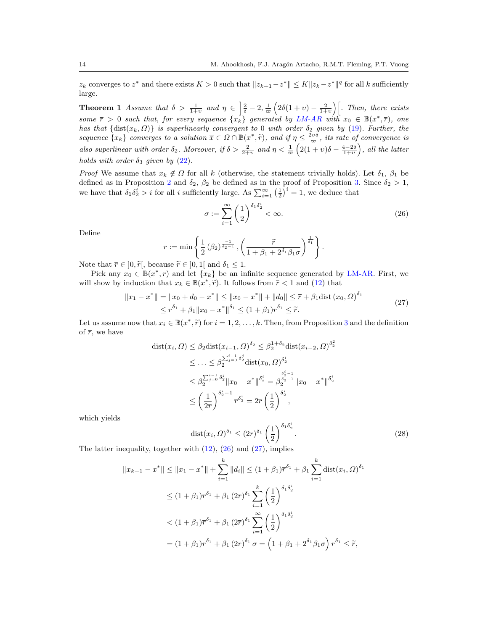$z_k$  converges to  $z^*$  and there exists  $K > 0$  such that  $||z_{k+1} - z^*|| \le K ||z_k - z^*||^q$  for all k sufficiently large.

<span id="page-13-0"></span>**Theorem 1** Assume that  $\delta > \frac{1}{1+v}$  and  $\eta \in \left[\frac{2}{\delta} - 2, \frac{1}{\varpi} \left(2\delta(1+v) - \frac{2}{1+v}\right)\right]$ . Then, there exists some  $\bar{r} > 0$  such that, for every sequence  $\{x_k\}$  generated by [LM-AR](#page-6-1) with  $x_0 \in \mathbb{B}(x^*, \bar{r})$ , one has that  $\{\text{dist}(x_k, \Omega)\}\$ is superlinearly convergent to 0 with order  $\delta_2$  given by [\(19\)](#page-9-0). Further, the sequence  $\{x_k\}$  converges to a solution  $\overline{x} \in \Omega \cap \mathbb{B}(x^*, \tilde{r})$ , and if  $\eta \leq \frac{2\upsilon \delta}{\varpi}$ , its rate of convergence is also superlinear with order  $\delta_2$ . Moreover, if  $\delta > \frac{2}{2+v}$  and  $\eta < \frac{1}{\varpi} \left( 2(1+v)\delta - \frac{4-2\delta}{1+v} \right)$ , all the latter holds with order  $\delta_3$  given by  $(22)$ .

*Proof* We assume that  $x_k \notin \Omega$  for all k (otherwise, the statement trivially holds). Let  $\delta_1$ ,  $\beta_1$  be defined as in Proposition [2](#page-7-5) and  $\delta_2$ ,  $\beta_2$  be defined as in the proof of Proposition [3.](#page-9-3) Since  $\delta_2 > 1$ , we have that  $\delta_1 \delta_2^i > i$  for all i sufficiently large. As  $\sum_{i=1}^{\infty} \left(\frac{1}{2}\right)^i = 1$ , we deduce that

<span id="page-13-1"></span>
$$
\sigma := \sum_{i=1}^{\infty} \left(\frac{1}{2}\right)^{\delta_1 \delta_2^i} < \infty. \tag{26}
$$

Define

$$
\overline{r} := \min \left\{ \frac{1}{2} \left( \beta_2 \right)^{\frac{-1}{\delta_2 - 1}}, \left( \frac{\widetilde{r}}{1 + \beta_1 + 2^{\delta_1} \beta_1 \sigma} \right)^{\frac{1}{\delta_1}} \right\}.
$$

Note that  $\bar{r} \in [0, \tilde{r}],$  because  $\tilde{r} \in [0, 1]$  and  $\delta_1 \leq 1$ .

Pick any  $x_0 \in \mathbb{B}(x^*, \overline{r})$  and let  $\{x_k\}$  be an infinite sequence generated by [LM-AR.](#page-6-1) First, we will show by induction that  $x_k \in \mathbb{B}(\tilde{x}^*, \tilde{r})$ . It follows from  $\tilde{r} < 1$  and [\(12\)](#page-7-2) that

$$
||x_1 - x^*|| = ||x_0 + d_0 - x^*|| \le ||x_0 - x^*|| + ||d_0|| \le \overline{r} + \beta_1 \text{dist} (x_0, \Omega)^{\delta_1}
$$
  
 
$$
\le \overline{r}^{\delta_1} + \beta_1 ||x_0 - x^*||^{\delta_1} \le (1 + \beta_1) \overline{r}^{\delta_1} \le \widetilde{r}.
$$
 (27)

<span id="page-13-2"></span>Let us assume now that  $x_i \in \mathbb{B}(x^*, \tilde{r})$  for  $i = 1, 2, ..., k$ . Then, from Proposition [3](#page-9-3) and the definition of  $\overline{x}$ , we have of  $\bar{r}$ , we have

$$
\begin{split} \text{dist}(x_i, \Omega) &\leq \beta_2 \text{dist}(x_{i-1}, \Omega)^{\delta_2} \leq \beta_2^{1+\delta_2} \text{dist}(x_{i-2}, \Omega)^{\delta_2^2} \\ &\leq \ldots \leq \beta_2^{\sum_{j=0}^{i-1} \delta_2^j} \text{dist}(x_0, \Omega)^{\delta_2^i} \\ &\leq \beta_2^{\sum_{j=0}^{i-1} \delta_2^j} \|x_0 - x^*\|^{\delta_2^i} = \beta_2^{\frac{\delta_2^i - 1}{\delta_2^i}} \|x_0 - x^*\|^{\delta_2^i} \\ &\leq \left(\frac{1}{2\overline{r}}\right)^{\delta_2^i - 1} \overline{r}^{\delta_2^i} = 2\overline{r} \left(\frac{1}{2}\right)^{\delta_2^i}, \end{split}
$$

which yields

<span id="page-13-3"></span>
$$
\text{dist}(x_i, \Omega)^{\delta_1} \leq (2\overline{r})^{\delta_1} \left(\frac{1}{2}\right)^{\delta_1 \delta_2^i}.
$$
\n
$$
(28)
$$

The latter inequality, together with [\(12\)](#page-7-2), [\(26\)](#page-13-1) and [\(27\)](#page-13-2), implies

$$
||x_{k+1} - x^*|| \le ||x_1 - x^*|| + \sum_{i=1}^k ||d_i|| \le (1 + \beta_1)\overline{r}^{\delta_1} + \beta_1 \sum_{i=1}^k \text{dist}(x_i, \Omega)^{\delta_1}
$$
  
\n
$$
\le (1 + \beta_1)\overline{r}^{\delta_1} + \beta_1 (2\overline{r})^{\delta_1} \sum_{i=1}^k \left(\frac{1}{2}\right)^{\delta_1 \delta_2^i}
$$
  
\n
$$
< (1 + \beta_1)\overline{r}^{\delta_1} + \beta_1 (2\overline{r})^{\delta_1} \sum_{i=1}^\infty \left(\frac{1}{2}\right)^{\delta_1 \delta_2^i}
$$
  
\n
$$
= (1 + \beta_1)\overline{r}^{\delta_1} + \beta_1 (2\overline{r})^{\delta_1} \sigma = \left(1 + \beta_1 + 2^{\delta_1} \beta_1 \sigma\right) \overline{r}^{\delta_1} \le \widetilde{r},
$$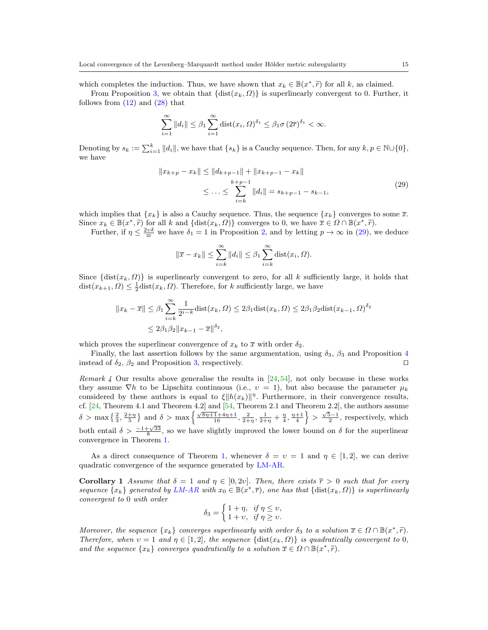which completes the induction. Thus, we have shown that  $x_k \in \mathbb{B}(x^*, \tilde{r})$  for all k, as claimed.<br>From Proposition 2, we obtain that  $\{dist(x_i, 0)\}$  is superlinearly convergent to 0. Further

From Proposition [3,](#page-9-3) we obtain that  $\{\text{dist}(x_k, \Omega)\}\$ is superlinearly convergent to 0. Further, it follows from  $(12)$  and  $(28)$  that

$$
\sum_{i=1}^{\infty} ||d_i|| \leq \beta_1 \sum_{i=1}^{\infty} \text{dist}(x_i, \Omega)^{\delta_1} \leq \beta_1 \sigma (2\overline{r})^{\delta_1} < \infty.
$$

Denoting by  $s_k := \sum_{i=1}^k ||d_i||$ , we have that  $\{s_k\}$  is a Cauchy sequence. Then, for any  $k, p \in \mathbb{N} \cup \{0\}$ , we have

$$
||x_{k+p} - x_k|| \le ||d_{k+p-1}|| + ||x_{k+p-1} - x_k||
$$
  

$$
\le \dots \le \sum_{i=k}^{k+p-1} ||d_i|| = s_{k+p-1} - s_{k-1},
$$
 (29)

<span id="page-14-0"></span>which implies that  ${x_k}$  is also a Cauchy sequence. Thus, the sequence  ${x_k}$  converges to some  $\bar{x}$ . Since  $x_k \in \mathbb{B}(x^*, \tilde{r})$  for all k and  $\{\text{dist}(x_k, \Omega)\}\)$  converges to 0, we have  $\overline{x} \in \Omega \cap \mathbb{B}(x^*, \tilde{r})$ .<br>Eurthor if  $n \leq 2^{v\delta}$  we have  $\delta_x = 1$  in Proposition 2, and by letting  $n \to \infty$  in (20), we

Further, if  $\eta \leq \frac{2v\delta}{\varpi}$  we have  $\delta_1 = 1$  in Proposition [2,](#page-7-5) and by letting  $p \to \infty$  in [\(29\)](#page-14-0), we deduce

$$
\|\overline{x} - x_k\| \le \sum_{i=k}^{\infty} \|d_i\| \le \beta_1 \sum_{i=k}^{\infty} \text{dist}(x_i, \Omega).
$$

Since  $\{\text{dist}(x_k, \Omega)\}\$ is superlinearly convergent to zero, for all k sufficiently large, it holds that  $dist(x_{k+1}, \Omega) \leq \frac{1}{2} \text{dist}(x_k, \Omega)$ . Therefore, for k sufficiently large, we have

$$
||x_k - \overline{x}|| \le \beta_1 \sum_{i=k}^{\infty} \frac{1}{2^{i-k}} \text{dist}(x_k, \Omega) \le 2\beta_1 \text{dist}(x_k, \Omega) \le 2\beta_1 \beta_2 \text{dist}(x_{k-1}, \Omega)^{\delta_2}
$$
  

$$
\le 2\beta_1 \beta_2 ||x_{k-1} - \overline{x}||^{\delta_2},
$$

which proves the superlinear convergence of  $x_k$  to  $\overline{x}$  with order  $\delta_2$ .

Finally, the last assertion follows by the same argumentation, using  $\delta_3$ ,  $\beta_3$  and Proposition [4](#page-10-3) instead of  $\delta_2$ ,  $\beta_2$  and Proposition [3,](#page-9-3) respectively.

Remark 4 Our results above generalise the results in  $[24,54]$  $[24,54]$ , not only because in these works they assume  $\nabla h$  to be Lipschitz continuous (i.e.,  $v = 1$ ), but also because the parameter  $\mu_k$ considered by these authors is equal to  $\xi ||h(x_k)||^{\eta}$ . Furthermore, in their convergence results, cf.  $[24,$  Theorem 4.1 and Theorem 4.2 and  $[54,$  Theorem 2.1 and Theorem 2.2, the authors assume  $\delta > \max\left\{\frac{2}{3}, \frac{2+\eta}{5}\right\}$  and  $\delta > \max\left\{\frac{\sqrt{8\eta+1}+4\eta+1}{16}, \frac{2}{2+\eta}, \frac{1}{2+\eta}+\frac{\eta}{4}, \frac{\eta+1}{4}\right\} > \frac{\sqrt{5}-1}{2}$ , respectively, which both entail  $\delta > \frac{-1+\sqrt{33}}{8}$ , so we have slightly improved the lower bound on  $\delta$  for the superlinear convergence in Theorem [1.](#page-13-0)

As a direct consequence of Theorem [1,](#page-13-0) whenever  $\delta = v = 1$  and  $\eta \in [1, 2]$ , we can derive quadratic convergence of the sequence generated by [LM-AR.](#page-6-1)

<span id="page-14-1"></span>Corollary 1 Assume that  $\delta = 1$  and  $\eta \in [0, 2\nu]$ . Then, there exists  $\overline{r} > 0$  such that for every sequence  $\{x_k\}$  generated by [LM-AR](#page-6-1) with  $x_0 \in \mathbb{B}(\overline{x^*, \overline{r}})$ , one has that  $\{\text{dist}(x_k, \Omega)\}\$ is superlinearly convergent to 0 with order

$$
\delta_3 = \begin{cases} 1 + \eta, & \text{if } \eta \leq \upsilon, \\ 1 + \upsilon, & \text{if } \eta \geq \upsilon. \end{cases}
$$

Moreover, the sequence  $\{x_k\}$  converges superlinearly with order  $\delta_3$  to a solution  $\overline{x} \in \Omega \cap \mathbb{B}(x^*, \tilde{r})$ .<br>Therefore, when  $y = 1$  and  $y \in [1, 2]$ , the sequence  $\{\text{dist}(x_i, 0)\}$  is quadratically convergent to 0. Therefore, when  $v = 1$  and  $\eta \in [1, 2]$ , the sequence  $\{\text{dist}(x_k, \Omega)\}\$ is quadratically convergent to 0, and the sequence  $\{x_k\}$  converges quadratically to a solution  $\overline{x} \in \Omega \cap \mathbb{B}(x^*, \tilde{r})$ .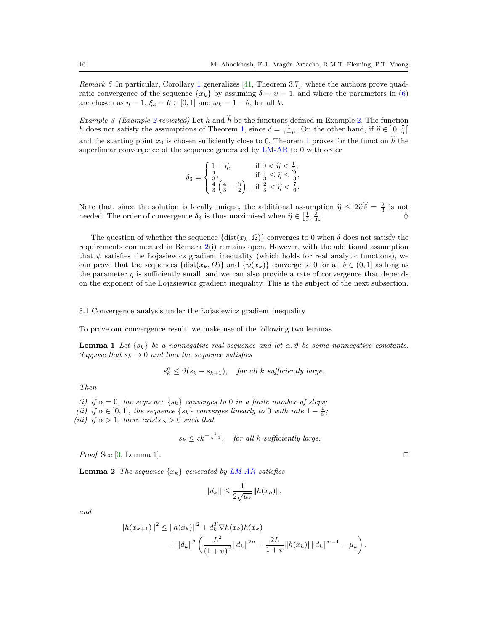*Remark* 5 In particular, Corollary [1](#page-14-1) generalizes  $[41,$  Theorem 3.7, where the authors prove quadratic convergence of the sequence  $\{x_k\}$  by assuming  $\delta = v = 1$ , and where the parameters in [\(6\)](#page-2-1) are chosen as  $\eta = 1$ ,  $\xi_k = \theta \in [0, 1]$  and  $\omega_k = 1 - \theta$ , for all k.

*Example 3 (Example [2](#page-6-2) revisited)* Let h and  $\hat{h}$  be the functions defined in Example [2.](#page-6-2) The function h does not satisfy the assumptions of Theorem [1,](#page-13-0) since  $\delta = \frac{1}{1+v}$ . On the other hand, if  $\hat{\eta} \in \left]0, \frac{7}{6}\right[$ and the starting point  $x_0$  is chosen sufficiently close to 0, Theorem [1](#page-13-0) proves for the function  $\hat{h}$  the superlinear convergence of the sequence generated by [LM-AR](#page-6-1) to 0 with order

$$
\delta_3 = \begin{cases} 1 + \hat{\eta}, & \text{if } 0 < \hat{\eta} < \frac{1}{3}, \\ \frac{4}{3}, & \text{if } \frac{1}{3} \leq \hat{\eta} \leq \frac{2}{3}, \\ \frac{4}{3} \left( \frac{4}{3} - \frac{\hat{\eta}}{2} \right), & \text{if } \frac{2}{3} < \hat{\eta} < \frac{7}{6}. \end{cases}
$$

Note that, since the solution is locally unique, the additional assumption  $\hat{\eta} \leq 2\hat{v}\hat{\delta} = \frac{2}{3}$  is not needed. The order of convergence  $\hat{\delta}$  is thus maximized when  $\hat{\delta} \subset \begin{bmatrix} 1 & 2 \end{bmatrix}$ needed. The order of convergence  $\delta_3$  is thus maximised when  $\hat{\eta} \in \left[\frac{1}{3}, \frac{2}{3}\right]$ .  $\Diamond$ 

The question of whether the sequence  $\{\text{dist}(x_k, \Omega)\}\)$  converges to 0 when  $\delta$  does not satisfy the requirements commented in Remark [2\(](#page-11-2)i) remains open. However, with the additional assumption that  $\psi$  satisfies the Lojasiewicz gradient inequality (which holds for real analytic functions), we can prove that the sequences  $\{dist(x_k, \Omega)\}\$ and  $\{\psi(x_k)\}\$ converge to 0 for all  $\delta \in (0, 1]$  as long as the parameter  $\eta$  is sufficiently small, and we can also provide a rate of convergence that depends on the exponent of the Lojasiewicz gradient inequality. This is the subject of the next subsection.

3.1 Convergence analysis under the Lojasiewicz gradient inequality

<span id="page-15-1"></span>To prove our convergence result, we make use of the following two lemmas.

**Lemma 1** Let  $\{s_k\}$  be a nonnegative real sequence and let  $\alpha, \vartheta$  be some nonnegative constants. Suppose that  $s_k \to 0$  and that the sequence satisfies

 $s_k^{\alpha} \leq \vartheta(s_k - s_{k+1}),$  for all k sufficiently large.

Then

(i) if  $\alpha = 0$ , the sequence  $\{s_k\}$  converges to 0 in a finite number of steps; (ii) if  $\alpha \in [0,1]$ , the sequence  $\{s_k\}$  converges linearly to 0 with rate  $1-\frac{1}{\vartheta}$ ; (iii) if  $\alpha > 1$ , there exists  $\varsigma > 0$  such that

$$
s_k \leq \zeta k^{-\frac{1}{\alpha-1}},
$$
 for all k sufficiently large.

*Proof* See [\[3,](#page-28-3) Lemma 1].  $\square$ 

<span id="page-15-0"></span>**Lemma 2** The sequence  $\{x_k\}$  generated by [LM-AR](#page-6-1) satisfies

$$
||d_k|| \leq \frac{1}{2\sqrt{\mu_k}} ||h(x_k)||,
$$

and

$$
||h(x_{k+1})||^2 \le ||h(x_k)||^2 + d_k^T \nabla h(x_k)h(x_k)
$$
  
+ 
$$
||d_k||^2 \left(\frac{L^2}{(1+v)^2}||d_k||^{2\nu} + \frac{2L}{1+v}||h(x_k)||||d_k||^{\nu-1} - \mu_k\right).
$$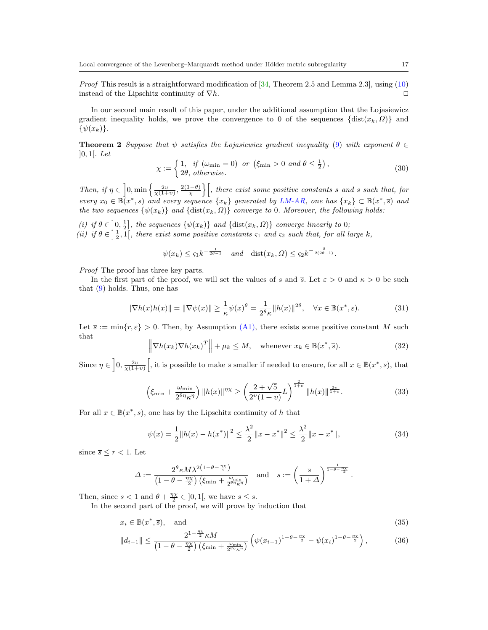*Proof* This result is a straightforward modification of  $[34,$  Theorem 2.5 and Lemma 2.3], using  $(10)$ instead of the Lipschitz continuity of  $\nabla h$ .

In our second main result of this paper, under the additional assumption that the Lojasiewicz gradient inequality holds, we prove the convergence to 0 of the sequences  $\{\text{dist}(x_k, \Omega)\}\$  and  $\{\psi(x_k)\}.$ 

<span id="page-16-0"></span>**Theorem 2** Suppose that  $\psi$  satisfies the Lojasiewicz gradient inequality [\(9\)](#page-3-2) with exponent  $\theta \in$  $]0, 1[$ . Let

<span id="page-16-2"></span>
$$
\chi := \begin{cases} 1, & \text{if } (\omega_{\min} = 0) \text{ or } (\xi_{\min} > 0 \text{ and } \theta \le \frac{1}{2}), \\ 2\theta, & \text{otherwise.} \end{cases}
$$
(30)

Then, if  $\eta \in \left]0, \min\left\{\frac{2v}{\chi(1+v)}, \frac{2(1-\theta)}{\chi}\right\}\right[$ , there exist some positive constants s and  $\overline{s}$  such that, for every  $x_0 \in \mathbb{B}(x^*, s)$  and every sequence  $\{x_k\}$  generated by [LM-AR,](#page-6-1) one has  $\{x_k\} \subset \mathbb{B}(x^*, \overline{s})$  and the two sequences  $\{\psi(x_k)\}$  and  $\{\text{dist}(x_k, \Omega)\}$  converge to 0. Moreover, the following holds:

(i) if  $\theta \in [0, \frac{1}{2}]$ , the sequences  $\{\psi(x_k)\}\$ and  $\{\text{dist}(x_k, \Omega)\}\$ converge linearly to 0;

(ii) if  $\theta \in \left[\frac{1}{2},1\right[$ , there exist some positive constants  $\zeta_1$  and  $\zeta_2$  such that, for all large k,

$$
\psi(x_k) \leq \zeta_1 k^{-\frac{1}{2\theta-1}}
$$
 and  $\text{dist}(x_k, \Omega) \leq \zeta_2 k^{-\frac{\delta}{2(2\theta-1)}}$ .

Proof The proof has three key parts.

In the first part of the proof, we will set the values of s and  $\bar{s}$ . Let  $\varepsilon > 0$  and  $\kappa > 0$  be such that [\(9\)](#page-3-2) holds. Thus, one has

<span id="page-16-1"></span>
$$
\|\nabla h(x)h(x)\| = \|\nabla \psi(x)\| \ge \frac{1}{\kappa} \psi(x)^\theta = \frac{1}{2^\theta \kappa} \|h(x)\|^{2\theta}, \quad \forall x \in \mathbb{B}(x^*, \varepsilon). \tag{31}
$$

Let  $\bar{s} := \min\{r, \varepsilon\} > 0$ . Then, by Assumption [\(A1\),](#page-6-1) there exists some positive constant M such that

<span id="page-16-4"></span>
$$
\left\|\nabla h(x_k)\nabla h(x_k)^T\right\| + \mu_k \le M, \quad \text{whenever } x_k \in \mathbb{B}(x^*, \overline{s}).\tag{32}
$$

Since  $\eta \in \left]0, \frac{2v}{\chi(1+v)}\right[$ , it is possible to make  $\overline{s}$  smaller if needed to ensure, for all  $x \in \mathbb{B}(x^*, \overline{s})$ , that

<span id="page-16-3"></span>
$$
\left(\xi_{\min} + \frac{\omega_{\min}}{2^{\theta \eta} \kappa^{\eta}}\right) \|h(x)\|^{ \eta \chi} \ge \left(\frac{2 + \sqrt{5}}{2^{\upsilon} (1 + \upsilon)} L\right)^{\frac{2}{1 + \upsilon}} \|h(x)\|^{\frac{2\upsilon}{1 + \upsilon}}.
$$
\n(33)

For all  $x \in \mathbb{B}(x^*, \overline{s})$ , one has by the Lipschitz continuity of h that

<span id="page-16-7"></span><span id="page-16-5"></span>
$$
\psi(x) = \frac{1}{2} \|h(x) - h(x^*)\|^2 \le \frac{\lambda^2}{2} \|x - x^*\|^2 \le \frac{\lambda^2}{2} \|x - x^*\|,\tag{34}
$$

since  $\overline{s} \leq r < 1$ . Let

<span id="page-16-6"></span>
$$
\varDelta := \frac{2^{\theta} \kappa M \lambda^{2(1-\theta-\frac{\eta_X}{2})}}{\left(1-\theta-\frac{\eta_X}{2}\right)\left(\xi_{\min}+\frac{\omega_{\min}}{2^{\theta\eta}\kappa^{\eta}}\right)} \quad \text{and} \quad s:=\left(\frac{\overline{s}}{1+\varDelta}\right)^{\frac{1}{1-\theta-\frac{\eta_X}{2}}}.
$$

Then, since  $\bar{s} < 1$  and  $\theta + \frac{\eta \chi}{2} \in ]0,1[$ , we have  $s \le \bar{s}$ .

In the second part of the proof, we will prove by induction that

$$
x_i \in \mathbb{B}(x^*, \overline{s}), \quad \text{and} \tag{35}
$$

$$
||d_{i-1}|| \leq \frac{2^{1-\frac{\eta_X}{2}} \kappa M}{\left(1 - \theta - \frac{\eta_X}{2}\right) \left(\xi_{\min} + \frac{\omega_{\min}}{2^{\theta \eta} \kappa^{\eta}}\right)} \left(\psi(x_{i-1})^{1-\theta - \frac{\eta_X}{2}} - \psi(x_i)^{1-\theta - \frac{\eta_X}{2}}\right),\tag{36}
$$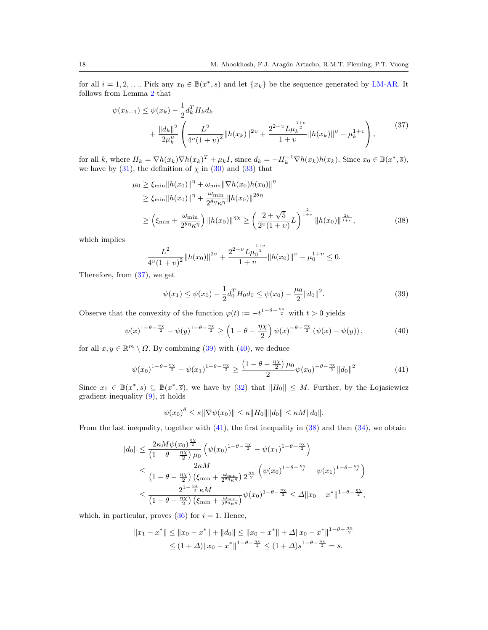for all  $i = 1, 2, \ldots$  Pick any  $x_0 \in \mathbb{B}(x^*, s)$  and let  $\{x_k\}$  be the sequence generated by [LM-AR.](#page-6-1) It follows from Lemma [2](#page-15-0) that

$$
\psi(x_{k+1}) \leq \psi(x_k) - \frac{1}{2} d_k^T H_k d_k + \frac{\|d_k\|^2}{2\mu_k^v} \left( \frac{L^2}{4^v (1+v)^2} \|h(x_k)\|^{2v} + \frac{2^{2-v} L \mu_k^{\frac{1+v}{2}}}{1+v} \|h(x_k)\|^{v} - \mu_k^{1+v} \right),
$$
\n(37)

<span id="page-17-0"></span>for all k, where  $H_k = \nabla h(x_k) \nabla h(x_k)^T + \mu_k I$ , since  $d_k = -H_k^{-1} \nabla h(x_k) h(x_k)$ . Since  $x_0 \in \mathbb{B}(x^*, \overline{s})$ , we have by  $(31)$ , the definition of  $\chi$  in  $(30)$  and  $(33)$  that

$$
\mu_0 \ge \xi_{\min} \|h(x_0)\|^{\eta} + \omega_{\min} \|\nabla h(x_0)h(x_0)\|^{\eta} \n\ge \xi_{\min} \|h(x_0)\|^{\eta} + \frac{\omega_{\min}}{2^{\theta \eta} \kappa^{\eta}} \|h(x_0)\|^{2\theta \eta} \n\ge \left(\xi_{\min} + \frac{\omega_{\min}}{2^{\theta \eta} \kappa^{\eta}}\right) \|h(x_0)\|^{2\chi} \ge \left(\frac{2 + \sqrt{5}}{2^{\nu}(1 + \nu)} L\right)^{\frac{2}{1 + \nu}} \|h(x_0)\|^{2\nu},
$$
\n(38)

which implies

$$
\frac{L^2}{4^{\nu}(1+\nu)^2}||h(x_0)||^{2\nu} + \frac{2^{2-\nu}L\mu_0^{\frac{1+\nu}{2}}}{1+\nu}||h(x_0)||^{\nu} - \mu_0^{1+\nu} \le 0.
$$

Therefore, from [\(37\)](#page-17-0), we get

<span id="page-17-4"></span><span id="page-17-1"></span>
$$
\psi(x_1) \le \psi(x_0) - \frac{1}{2} d_0^T H_0 d_0 \le \psi(x_0) - \frac{\mu_0}{2} ||d_0||^2.
$$
\n(39)

Observe that the convexity of the function  $\varphi(t) := -t^{1-\theta-\frac{\eta\chi}{2}}$  with  $t > 0$  yields

<span id="page-17-2"></span>
$$
\psi(x)^{1-\theta-\frac{\eta\chi}{2}} - \psi(y)^{1-\theta-\frac{\eta\chi}{2}} \ge \left(1-\theta-\frac{\eta\chi}{2}\right)\psi(x)^{-\theta-\frac{\eta\chi}{2}}\left(\psi(x)-\psi(y)\right),\tag{40}
$$

for all  $x, y \in \mathbb{R}^m \setminus \Omega$ . By combining [\(39\)](#page-17-1) with [\(40\)](#page-17-2), we deduce

<span id="page-17-3"></span>
$$
\psi(x_0)^{1-\theta-\frac{\eta\chi}{2}} - \psi(x_1)^{1-\theta-\frac{\eta\chi}{2}} \ge \frac{\left(1-\theta-\frac{\eta\chi}{2}\right)\mu_0}{2}\psi(x_0)^{-\theta-\frac{\eta\chi}{2}}\|d_0\|^2\tag{41}
$$

Since  $x_0 \in \mathbb{B}(x^*, s) \subseteq \mathbb{B}(x^*, \overline{s})$ , we have by [\(32\)](#page-16-4) that  $||H_0|| \leq M$ . Further, by the Lojasiewicz gradient inequality [\(9\)](#page-3-2), it holds

$$
\psi(x_0)^{\theta} \leq \kappa \|\nabla \psi(x_0)\| \leq \kappa \|H_0\| \|d_0\| \leq \kappa M \|d_0\|.
$$

From the last inequality, together with [\(41\)](#page-17-3), the first inequality in [\(38\)](#page-17-4) and then [\(34\)](#page-16-5), we obtain

$$
||d_0|| \leq \frac{2\kappa M\psi(x_0)^{\frac{\eta_X}{2}}}{\left(1-\theta-\frac{\eta_X}{2}\right)\mu_0} \left(\psi(x_0)^{1-\theta-\frac{\eta_X}{2}} - \psi(x_1)^{1-\theta-\frac{\eta_X}{2}}\right)
$$
  

$$
\leq \frac{2\kappa M}{\left(1-\theta-\frac{\eta_X}{2}\right)\left(\xi_{\min}+\frac{\omega_{\min}}{2^{\theta\eta}\kappa^{\eta}}\right)2^{\frac{\eta_X}{2}}} \left(\psi(x_0)^{1-\theta-\frac{\eta_X}{2}} - \psi(x_1)^{1-\theta-\frac{\eta_X}{2}}\right)
$$
  

$$
\leq \frac{2^{1-\frac{\eta_X}{2}}\kappa M}{\left(1-\theta-\frac{\eta_X}{2}\right)\left(\xi_{\min}+\frac{\omega_{\min}}{2^{\theta\eta}\kappa^{\eta}}\right)}\psi(x_0)^{1-\theta-\frac{\eta_X}{2}} \leq \Delta ||x_0-x^*||^{1-\theta-\frac{\eta_X}{2}},
$$

which, in particular, proves  $(36)$  for  $i = 1$ . Hence,

$$
||x_1 - x^*|| \le ||x_0 - x^*|| + ||d_0|| \le ||x_0 - x^*|| + \Delta ||x_0 - x^*||^{1-\theta - \frac{\eta \chi}{2}}
$$
  

$$
\le (1 + \Delta) ||x_0 - x^*||^{1-\theta - \frac{\eta \chi}{2}} \le (1 + \Delta) s^{1-\theta - \frac{\eta \chi}{2}} = \overline{s}.
$$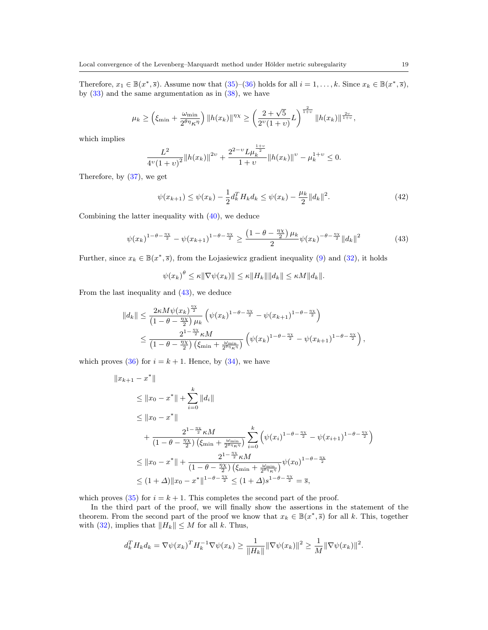Therefore,  $x_1 \in \mathbb{B}(x^*, \overline{s})$ . Assume now that  $(35)-(36)$  $(35)-(36)$  $(35)-(36)$  holds for all  $i=1,\ldots,k$ . Since  $x_k \in \mathbb{B}(x^*, \overline{s})$ , by  $(33)$  and the same argumentation as in  $(38)$ , we have

$$
\mu_k \ge \left(\xi_{\min} + \frac{\omega_{\min}}{2^{\theta\eta}\kappa^{\eta}}\right) \|h(x_k)\|^{ \eta\chi} \ge \left(\frac{2+\sqrt{5}}{2^{\upsilon}(1+\upsilon)}L\right)^{\frac{2}{1+\upsilon}} \|h(x_k)\|^{\frac{2\upsilon}{1+\upsilon}},
$$

which implies

$$
\frac{L^2}{4^{\nu}(1+\nu)^2}||h(x_k)||^{2\nu} + \frac{2^{2-\nu}L\mu_k^{\frac{1+\nu}{2}}}{1+\nu}||h(x_k)||^{\nu} - \mu_k^{1+\nu} \le 0.
$$

Therefore, by [\(37\)](#page-17-0), we get

<span id="page-18-1"></span>
$$
\psi(x_{k+1}) \le \psi(x_k) - \frac{1}{2} d_k^T H_k d_k \le \psi(x_k) - \frac{\mu_k}{2} ||d_k||^2.
$$
\n(42)

Combining the latter inequality with [\(40\)](#page-17-2), we deduce

<span id="page-18-0"></span>
$$
\psi(x_k)^{1-\theta-\frac{\eta_X}{2}} - \psi(x_{k+1})^{1-\theta-\frac{\eta_X}{2}} \ge \frac{\left(1-\theta-\frac{\eta_X}{2}\right)\mu_k}{2}\psi(x_k)^{-\theta-\frac{\eta_X}{2}}\|d_k\|^2\tag{43}
$$

Further, since  $x_k \in \mathbb{B}(x^*, \overline{s})$ , from the Lojasiewicz gradient inequality [\(9\)](#page-3-2) and [\(32\)](#page-16-4), it holds

$$
\psi(x_k)^{\theta} \leq \kappa \|\nabla \psi(x_k)\| \leq \kappa \|H_k\| \|d_k\| \leq \kappa M \|d_k\|.
$$

From the last inequality and [\(43\)](#page-18-0), we deduce

$$
||d_k|| \leq \frac{2\kappa M \psi(x_k)^{\frac{\eta_X}{2}}}{\left(1-\theta-\frac{\eta_X}{2}\right)\mu_k} \left(\psi(x_k)^{1-\theta-\frac{\eta_X}{2}} - \psi(x_{k+1})^{1-\theta-\frac{\eta_X}{2}}\right)
$$
  

$$
\leq \frac{2^{1-\frac{\eta_X}{2}} \kappa M}{\left(1-\theta-\frac{\eta_X}{2}\right)\left(\xi_{\min}+\frac{\omega_{\min}}{2^{\theta\eta}\kappa^{\eta}}\right)} \left(\psi(x_k)^{1-\theta-\frac{\eta_X}{2}} - \psi(x_{k+1})^{1-\theta-\frac{\eta_X}{2}}\right),
$$

which proves [\(36\)](#page-16-6) for  $i = k + 1$ . Hence, by [\(34\)](#page-16-5), we have

$$
||x_{k+1} - x^*||
$$
  
\n
$$
\leq ||x_0 - x^*|| + \sum_{i=0}^k ||d_i||
$$
  
\n
$$
\leq ||x_0 - x^*||
$$
  
\n
$$
+ \frac{2^{1 - \frac{\eta_X}{2}} \kappa M}{(1 - \theta - \frac{\eta_X}{2}) \left(\xi_{\min} + \frac{\omega_{\min}}{2^{\theta \eta_{\kappa \eta}}} \right)} \sum_{i=0}^k \left( \psi(x_i)^{1 - \theta - \frac{\eta_X}{2}} - \psi(x_{i+1})^{1 - \theta - \frac{\eta_X}{2}} \right)
$$
  
\n
$$
\leq ||x_0 - x^*|| + \frac{2^{1 - \frac{\eta_X}{2}} \kappa M}{(1 - \theta - \frac{\eta_X}{2}) \left(\xi_{\min} + \frac{\omega_{\min}}{2^{\theta \eta_{\kappa \eta}}} \right)} \psi(x_0)^{1 - \theta - \frac{\eta_X}{2}}
$$
  
\n
$$
\leq (1 + \Delta) ||x_0 - x^*||^{1 - \theta - \frac{\eta_X}{2}} \leq (1 + \Delta) s^{1 - \theta - \frac{\eta_X}{2}} = \overline{s},
$$

which proves [\(35\)](#page-16-7) for  $i = k + 1$ . This completes the second part of the proof.

In the third part of the proof, we will finally show the assertions in the statement of the theorem. From the second part of the proof we know that  $x_k \in \mathbb{B}(x^*, \overline{s})$  for all k. This, together with [\(32\)](#page-16-4), implies that  $||H_k|| \leq M$  for all k. Thus,

$$
d_k^T H_k d_k = \nabla \psi(x_k)^T H_k^{-1} \nabla \psi(x_k) \ge \frac{1}{\|H_k\|} \|\nabla \psi(x_k)\|^2 \ge \frac{1}{M} \|\nabla \psi(x_k)\|^2.
$$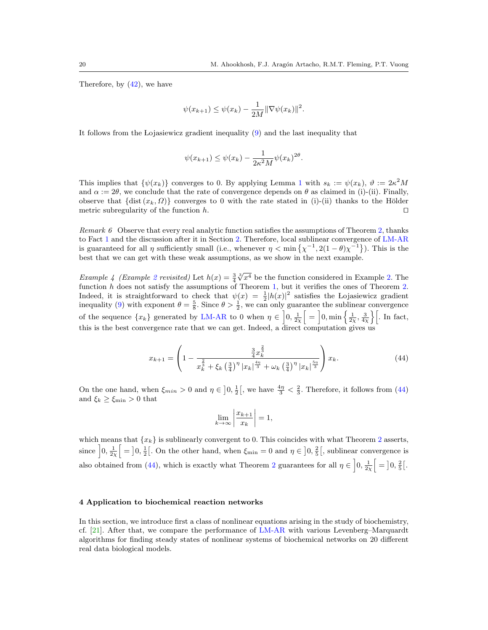Therefore, by [\(42\)](#page-18-1), we have

$$
\psi(x_{k+1}) \leq \psi(x_k) - \frac{1}{2M} ||\nabla \psi(x_k)||^2.
$$

It follows from the Lojasiewicz gradient inequality [\(9\)](#page-3-2) and the last inequality that

$$
\psi(x_{k+1}) \le \psi(x_k) - \frac{1}{2\kappa^2 M} \psi(x_k)^{2\theta}.
$$

This implies that  $\{\psi(x_k)\}\)$  converges to 0. By applying Lemma [1](#page-15-1) with  $s_k := \psi(x_k)$ ,  $\vartheta := 2\kappa^2 M$ and  $\alpha := 2\theta$ , we conclude that the rate of convergence depends on  $\theta$  as claimed in (i)-(ii). Finally, observe that  $\{\text{dist}(x_k, \Omega)\}\)$  converges to 0 with the rate stated in (i)-(ii) thanks to the Hölder metric subregularity of the function  $h$ .

<span id="page-19-2"></span>Remark  $6$  Observe that every real analytic function satisfies the assumptions of Theorem [2,](#page-16-0) thanks to Fact [1](#page-4-1) and the discussion after it in Section [2.](#page-3-3) Therefore, local sublinear convergence of [LM-AR](#page-6-1) is guaranteed for all  $\eta$  sufficiently small (i.e., whenever  $\eta < \min{\{\chi^{-1}, 2(1-\theta)\chi^{-1}\}}$ ). This is the best that we can get with these weak assumptions, as we show in the next example.

Example 4 (Example [2](#page-6-2) revisited) Let  $h(x) = \frac{3}{4}$  $\sqrt[3]{x^4}$  be the function considered in Example [2.](#page-6-2) The function  $h$  does not satisfy the assumptions of Theorem [1,](#page-13-0) but it verifies the ones of Theorem [2.](#page-16-0) Indeed, it is straightforward to check that  $\psi(x) = \frac{1}{2} |h(x)|^2$  satisfies the Lojasiewicz gradient inequality [\(9\)](#page-3-2) with exponent  $\theta = \frac{5}{8}$ . Since  $\theta > \frac{1}{2}$ , we can only guarantee the sublinear convergence of the sequence  $\{x_k\}$  generated by [LM-AR](#page-6-1) to 0 when  $\eta \in \left]0, \frac{1}{2\chi}\right[ = \left]0, \min\left\{\frac{1}{2\chi}, \frac{3}{4\chi}\right\}\right[$ . In fact, this is the best convergence rate that we can get. Indeed, a direct computation gives us

<span id="page-19-1"></span>
$$
x_{k+1} = \left(1 - \frac{\frac{3}{4}x_k^{\frac{2}{3}}}{x_k^{\frac{2}{3}} + \xi_k \left(\frac{3}{4}\right)^{\eta} |x_k|^{\frac{4\eta}{3}} + \omega_k \left(\frac{3}{4}\right)^{\eta} |x_k|^{\frac{5\eta}{3}}}\right)x_k.
$$
 (44)

On the one hand, when  $\xi_{min} > 0$  and  $\eta \in \left]0, \frac{1}{2}\right[$ , we have  $\frac{4\eta}{3} < \frac{2}{3}$ . Therefore, it follows from [\(44\)](#page-19-1) and  $\xi_k \geq \xi_{\min} > 0$  that

$$
\lim_{k \to \infty} \left| \frac{x_{k+1}}{x_k} \right| = 1,
$$

which means that  $\{x_k\}$  is sublinearly convergent to 0. This coincides with what Theorem [2](#page-16-0) asserts, since  $\left[0, \frac{1}{2\chi}\right] = \left[0, \frac{1}{2}\right]$ . On the other hand, when  $\xi_{\min} = 0$  and  $\eta \in \left]0, \frac{2}{5}\right[$ , sublinear convergence is also obtained from [\(44\)](#page-19-1), which is exactly what Theorem [2](#page-16-0) guarantees for all  $\eta \in \left]0, \frac{1}{2\chi}\right[ = \left]0, \frac{2}{5}\right[$ .

#### <span id="page-19-0"></span>4 Application to biochemical reaction networks

In this section, we introduce first a class of nonlinear equations arising in the study of biochemistry, cf. [\[21\]](#page-28-25). After that, we compare the performance of [LM-AR](#page-6-1) with various Levenberg–Marquardt algorithms for finding steady states of nonlinear systems of biochemical networks on 20 different real data biological models.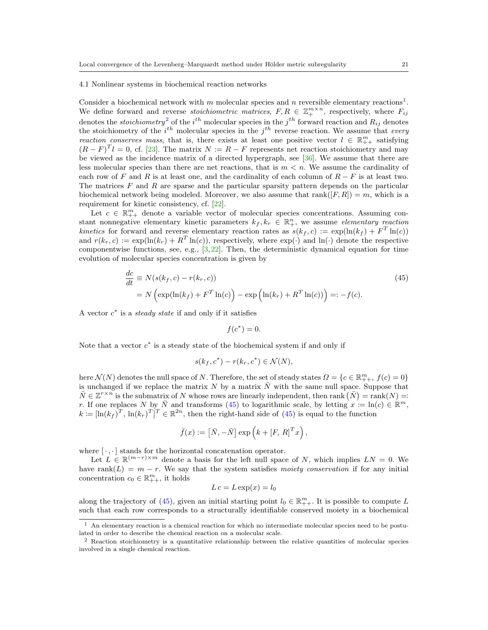#### 4.1 Nonlinear systems in biochemical reaction networks

Consider a biochemical network with m molecular species and n reversible elementary reactions<sup>[1](#page-20-0)</sup>. We define forward and reverse *stoichiometric matrices*,  $F, R \in \mathbb{Z}_+^{m \times n}$ , respectively, where  $F_{ij}$ denotes the *stoichiometry*<sup>[2](#page-20-1)</sup> of the *i*<sup>th</sup> molecular species in the *j*<sup>th</sup> forward reaction and  $R_{ij}$  denotes the stoichiometry of the  $i^{th}$  molecular species in the  $j^{th}$  reverse reaction. We assume that every reaction conserves mass, that is, there exists at least one positive vector  $l \in \mathbb{R}_{++}^m$  satisfying  $(R - F)^T l = 0$ , cf. [\[23\]](#page-28-26). The matrix  $N := R - F$  represents net reaction stoichiometry and may be viewed as the incidence matrix of a directed hypergraph, see [\[36\]](#page-29-20). We assume that there are less molecular species than there are net reactions, that is  $m < n$ . We assume the cardinality of each row of F and R is at least one, and the cardinality of each column of  $R - F$  is at least two. The matrices  $F$  and  $R$  are sparse and the particular sparsity pattern depends on the particular biochemical network being modeled. Moreover, we also assume that rank( $[F, R]$ ) = m, which is a requirement for kinetic consistency, cf. [\[22\]](#page-28-27).

Let  $c \in \mathbb{R}_{++}^m$  denote a variable vector of molecular species concentrations. Assuming constant nonnegative elementary kinetic parameters  $k_f, k_r \in \mathbb{R}^n_+$ , we assume elementary reaction kinetics for forward and reverse elementary reaction rates as  $s(k_f, c) := \exp(\ln(k_f) + F^T \ln(c))$ and  $r(k_r, c) := \exp(\ln(k_r) + R^T \ln(c))$ , respectively, where  $\exp(\cdot)$  and  $\ln(\cdot)$  denote the respective componentwise functions, see, e.g.,  $[3,22]$  $[3,22]$ . Then, the deterministic dynamical equation for time evolution of molecular species concentration is given by

<span id="page-20-2"></span>
$$
\frac{dc}{dt} \equiv N(s(k_f, c) - r(k_r, c))
$$
\n
$$
= N\left(\exp(\ln(k_f) + F^T \ln(c)) - \exp\left(\ln(k_r) + R^T \ln(c)\right)\right) =: -f(c).
$$
\n(45)

A vector  $c^*$  is a *steady state* if and only if it satisfies

$$
f(c^*) = 0.
$$

Note that a vector  $c^*$  is a steady state of the biochemical system if and only if

$$
s(k_f, c^*) - r(k_r, c^*) \in \mathcal{N}(N),
$$

here  $\mathcal{N}(N)$  denotes the null space of N. Therefore, the set of steady states  $\Omega = \{c \in \mathbb{R}_{++}^m, f(c) = 0\}$ is unchanged if we replace the matrix N by a matrix  $\bar{N}$  with the same null space. Suppose that  $\overline{N} \in \mathbb{Z}^{r \times n}$  is the submatrix of N whose rows are linearly independent, then rank  $(\overline{N}) = \text{rank}(N) =$ r. If one replaces N by  $\bar{N}$  and transforms [\(45\)](#page-20-2) to logarithmic scale, by letting  $x := \ln(c) \in \mathbb{R}^m$ ,  $k \coloneqq [\ln(k_f)^T, \ln(k_r)^T]^T \in \mathbb{R}^{2n}$ , then the right-hand side of [\(45\)](#page-20-2) is equal to the function

$$
\bar{f}(x) := \left[\bar{N}, -\bar{N}\right] \exp\left(k + [F, R]^T x\right),\,
$$

where  $[\cdot, \cdot]$  stands for the horizontal concatenation operator.

Let  $L \in \mathbb{R}^{(m-r)\times m}$  denote a basis for the left null space of N, which implies  $LN = 0$ . We have rank(L) =  $m - r$ . We say that the system satisfies moiety conservation if for any initial concentration  $c_0 \in \mathbb{R}_{++}^m$ , it holds

$$
L\,c = L\exp(x) = l_0
$$

along the trajectory of [\(45\)](#page-20-2), given an initial starting point  $l_0 \in \mathbb{R}_{++}^m$ . It is possible to compute L such that each row corresponds to a structurally identifiable conserved moiety in a biochemical

<span id="page-20-0"></span><sup>1</sup> An elementary reaction is a chemical reaction for which no intermediate molecular species need to be postulated in order to describe the chemical reaction on a molecular scale.

<span id="page-20-1"></span><sup>2</sup> Reaction stoichiometry is a quantitative relationship between the relative quantities of molecular species involved in a single chemical reaction.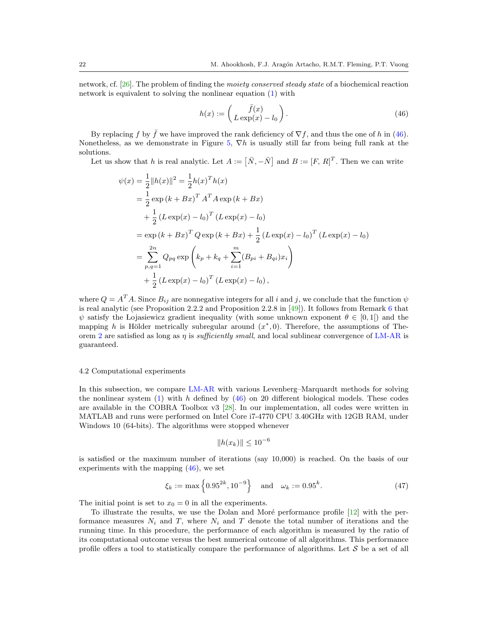network, cf. [\[26\]](#page-28-28). The problem of finding the moiety conserved steady state of a biochemical reaction network is equivalent to solving the nonlinear equation [\(1\)](#page-1-0) with

<span id="page-21-0"></span>
$$
h(x) := \begin{pmatrix} \bar{f}(x) \\ L \exp(x) - l_0 \end{pmatrix}.
$$
 (46)

By replacing f by f we have improved the rank deficiency of  $\nabla f$ , and thus the one of h in [\(46\)](#page-21-0). Nonetheless, as we demonstrate in Figure [5,](#page-25-0)  $\nabla h$  is usually still far from being full rank at the solutions.

Let us show that h is real analytic. Let  $A := [\bar{N}, -\bar{N}]$  and  $B := [F, R]^T$ . Then we can write

$$
\psi(x) = \frac{1}{2} ||h(x)||^2 = \frac{1}{2} h(x)^T h(x)
$$
  
\n
$$
= \frac{1}{2} \exp (k + Bx)^T A^T A \exp (k + Bx)
$$
  
\n
$$
+ \frac{1}{2} (L \exp(x) - l_0)^T (L \exp(x) - l_0)
$$
  
\n
$$
= \exp (k + Bx)^T Q \exp (k + Bx) + \frac{1}{2} (L \exp(x) - l_0)^T (L \exp(x) - l_0)
$$
  
\n
$$
= \sum_{p,q=1}^{2n} Q_{pq} \exp \left( k_p + k_q + \sum_{i=1}^m (B_{pi} + B_{qi}) x_i \right)
$$
  
\n
$$
+ \frac{1}{2} (L \exp(x) - l_0)^T (L \exp(x) - l_0),
$$

where  $Q = A<sup>T</sup>A$ . Since  $B_{ij}$  are nonnegative integers for all i and j, we conclude that the function  $\psi$ is real analytic (see Proposition 2.2.2 and Proposition 2.2.8 in [\[49\]](#page-29-21)). It follows from Remark [6](#page-19-2) that  $\psi$  satisfy the Lojasiewicz gradient inequality (with some unknown exponent  $\theta \in [0,1]$ ) and the mapping h is Hölder metrically subregular around  $(x^*,0)$ . Therefore, the assumptions of The-orem [2](#page-16-0) are satisfied as long as  $\eta$  is *sufficiently small*, and local sublinear convergence of [LM-AR](#page-6-1) is guaranteed.

#### 4.2 Computational experiments

In this subsection, we compare [LM-AR](#page-6-1) with various Levenberg–Marquardt methods for solving the nonlinear system  $(1)$  with h defined by  $(46)$  on 20 different biological models. These codes are available in the COBRA Toolbox v3 [\[28\]](#page-28-29). In our implementation, all codes were written in MATLAB and runs were performed on Intel Core i7-4770 CPU 3.40GHz with 12GB RAM, under Windows 10 (64-bits). The algorithms were stopped whenever

$$
||h(x_k)|| \le 10^{-6}
$$

is satisfied or the maximum number of iterations (say 10,000) is reached. On the basis of our experiments with the mapping [\(46\)](#page-21-0), we set

<span id="page-21-1"></span>
$$
\xi_k := \max\left\{0.95^{2k}, 10^{-9}\right\} \quad \text{and} \quad \omega_k := 0.95^k. \tag{47}
$$

The initial point is set to  $x_0 = 0$  in all the experiments.

To illustrate the results, we use the Dolan and Moré performance profile  $[12]$  with the performance measures  $N_i$  and T, where  $N_i$  and T denote the total number of iterations and the running time. In this procedure, the performance of each algorithm is measured by the ratio of its computational outcome versus the best numerical outcome of all algorithms. This performance profile offers a tool to statistically compare the performance of algorithms. Let  $S$  be a set of all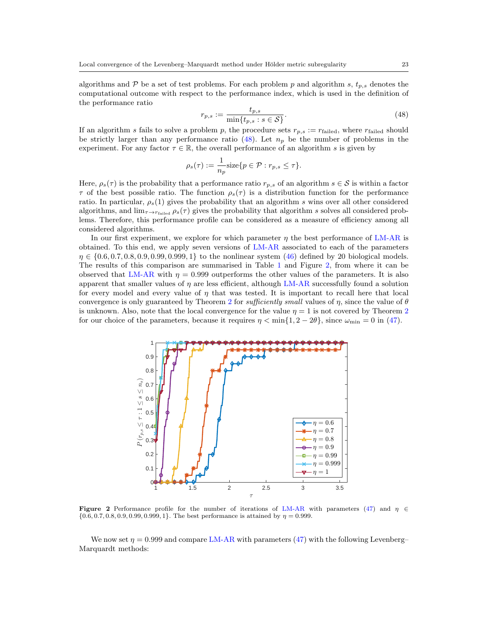algorithms and  $\mathcal P$  be a set of test problems. For each problem p and algorithm s,  $t_{p,s}$  denotes the computational outcome with respect to the performance index, which is used in the definition of the performance ratio

<span id="page-22-0"></span>
$$
r_{p,s} := \frac{t_{p,s}}{\min\{t_{p,s} : s \in \mathcal{S}\}}.\tag{48}
$$

If an algorithm s fails to solve a problem p, the procedure sets  $r_{p,s} := r_{\text{failed}}$ , where  $r_{\text{failed}}$  should be strictly larger than any performance ratio  $(48)$ . Let  $n<sub>p</sub>$  be the number of problems in the experiment. For any factor  $\tau \in \mathbb{R}$ , the overall performance of an algorithm s is given by

$$
\rho_s(\tau) := \frac{1}{n_p} \text{size} \{ p \in \mathcal{P} : r_{p,s} \leq \tau \}.
$$

Here,  $\rho_s(\tau)$  is the probability that a performance ratio  $r_{p,s}$  of an algorithm  $s \in S$  is within a factor  $\tau$  of the best possible ratio. The function  $\rho_s(\tau)$  is a distribution function for the performance ratio. In particular,  $\rho_s(1)$  gives the probability that an algorithm s wins over all other considered algorithms, and  $\lim_{\tau \to r_{\text{failed}}} \rho_s(\tau)$  gives the probability that algorithm s solves all considered problems. Therefore, this performance profile can be considered as a measure of efficiency among all considered algorithms.

In our first experiment, we explore for which parameter  $\eta$  the best performance of [LM-AR](#page-6-1) is obtained. To this end, we apply seven versions of [LM-AR](#page-6-1) associated to each of the parameters  $\eta \in \{0.6, 0.7, 0.8, 0.9, 0.99, 0.999, 1\}$  to the nonlinear system [\(46\)](#page-21-0) defined by 20 biological models. The results of this comparison are summarised in Table [1](#page-26-0) and Figure [2,](#page-22-1) from where it can be observed that [LM-AR](#page-6-1) with  $\eta = 0.999$  outperforms the other values of the parameters. It is also apparent that smaller values of  $\eta$  are less efficient, although [LM-AR](#page-6-1) successfully found a solution for every model and every value of  $\eta$  that was tested. It is important to recall here that local convergence is only guaranteed by Theorem [2](#page-16-0) for *sufficiently small* values of  $\eta$ , since the value of  $\theta$ is unknown. Also, note that the local convergence for the value  $\eta = 1$  is not covered by Theorem [2](#page-16-0) for our choice of the parameters, because it requires  $\eta < \min\{1, 2 - 2\theta\}$ , since  $\omega_{\min} = 0$  in [\(47\)](#page-21-1).



<span id="page-22-1"></span>**Figure 2** Performance profile for the number of iterations of [LM-AR](#page-6-1) with parameters [\(47\)](#page-21-1) and  $\eta \in$  $\{0.6, 0.7, 0.8, 0.9, 0.99, 0.999, 1\}$ . The best performance is attained by  $\eta = 0.999$ .

We now set  $\eta = 0.999$  and compare [LM-AR](#page-6-1) with parameters [\(47\)](#page-21-1) with the following Levenberg– Marquardt methods: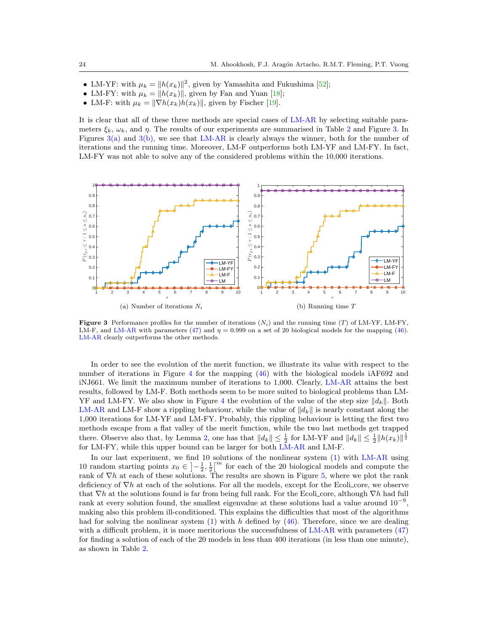- LM-YF: with  $\mu_k = ||h(x_k)||^2$ , given by Yamashita and Fukushima [\[52\]](#page-29-5);
- LM-FY: with  $\mu_k = ||h(x_k)||$ , given by Fan and Yuan [\[18\]](#page-28-13);
- LM-F: with  $\mu_k = ||\nabla h(x_k)h(x_k)||$ , given by Fischer [\[19\]](#page-28-16).

It is clear that all of these three methods are special cases of [LM-AR](#page-6-1) by selecting suitable parameters  $\xi_k$ ,  $\omega_k$ , and  $\eta$ . The results of our experiments are summarised in Table [2](#page-27-0) and Figure [3.](#page-23-0) In Figures  $3(a)$  and  $3(b)$ , we see that [LM-AR](#page-6-1) is clearly always the winner, both for the number of iterations and the running time. Moreover, LM-F outperforms both LM-YF and LM-FY. In fact, LM-FY was not able to solve any of the considered problems within the 10,000 iterations.

<span id="page-23-1"></span>

<span id="page-23-2"></span><span id="page-23-0"></span>**Figure 3** Performance profiles for the number of iterations  $(N_i)$  and the running time (T) of LM-YF, LM-FY, LM-F, and [LM-AR](#page-6-1) with parameters [\(47\)](#page-21-1) and  $\eta = 0.999$  on a set of 20 biological models for the mapping [\(46\)](#page-21-0). [LM-AR](#page-6-1) clearly outperforms the other methods.

In order to see the evolution of the merit function, we illustrate its value with respect to the number of iterations in Figure [4](#page-24-1) for the mapping [\(46\)](#page-21-0) with the biological models iAF692 and iNJ661. We limit the maximum number of iterations to 1,000. Clearly, [LM-AR](#page-6-1) attains the best results, followed by LM-F. Both methods seem to be more suited to biological problems than LM-YF and LM-FY. We also show in Figure [4](#page-24-1) the evolution of the value of the step size  $||d_k||$ . Both [LM-AR](#page-6-1) and LM-F show a rippling behaviour, while the value of  $||d_k||$  is nearly constant along the 1,000 iterations for LM-YF and LM-FY. Probably, this rippling behaviour is letting the first two methods escape from a flat valley of the merit function, while the two last methods get trapped there. Observe also that, by Lemma [2,](#page-15-0) one has that  $||d_k|| \leq \frac{1}{2}$  for LM-YF and  $||d_k|| \leq \frac{1}{2}||h(x_k)||^{\frac{1}{2}}$ for LM-FY, while this upper bound can be larger for both [LM-AR](#page-6-1) and LM-F.

In our last experiment, we find 10 solutions of the nonlinear system  $(1)$  with [LM-AR](#page-6-1) using 10 random starting points  $x_0 \in \left]-\frac{1}{2},\frac{1}{2}\right[^m$  for each of the 20 biological models and compute the rank of  $\nabla h$  at each of these solutions. The results are shown in Figure [5,](#page-25-0) where we plot the rank deficiency of  $\nabla h$  at each of the solutions. For all the models, except for the Ecoli core, we observe that  $\nabla h$  at the solutions found is far from being full rank. For the Ecoli core, although  $\nabla h$  had full rank at every solution found, the smallest eigenvalue at these solutions had a value around  $10^{-9}$ , making also this problem ill-conditioned. This explains the difficulties that most of the algorithms had for solving the nonlinear system  $(1)$  with h defined by  $(46)$ . Therefore, since we are dealing with a difficult problem, it is more meritorious the successfulness of [LM-AR](#page-6-1) with parameters [\(47\)](#page-21-1) for finding a solution of each of the 20 models in less than 400 iterations (in less than one minute), as shown in Table [2.](#page-27-0)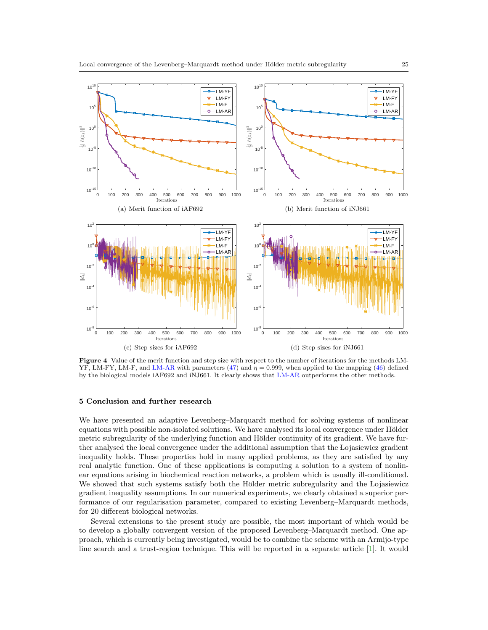

<span id="page-24-1"></span>Figure 4 Value of the merit function and step size with respect to the number of iterations for the methods LM-YF, LM-FY, LM-F, and [LM-AR](#page-6-1) with parameters [\(47\)](#page-21-1) and  $\eta = 0.999$ , when applied to the mapping [\(46\)](#page-21-0) defined by the biological models iAF692 and iNJ661. It clearly shows that [LM-AR](#page-6-1) outperforms the other methods.

#### <span id="page-24-0"></span>5 Conclusion and further research

We have presented an adaptive Levenberg–Marquardt method for solving systems of nonlinear equations with possible non-isolated solutions. We have analysed its local convergence under Hölder metric subregularity of the underlying function and Hölder continuity of its gradient. We have further analysed the local convergence under the additional assumption that the Lojasiewicz gradient inequality holds. These properties hold in many applied problems, as they are satisfied by any real analytic function. One of these applications is computing a solution to a system of nonlinear equations arising in biochemical reaction networks, a problem which is usually ill-conditioned. We showed that such systems satisfy both the Hölder metric subregularity and the Lojasiewicz gradient inequality assumptions. In our numerical experiments, we clearly obtained a superior performance of our regularisation parameter, compared to existing Levenberg–Marquardt methods, for 20 different biological networks.

Several extensions to the present study are possible, the most important of which would be to develop a globally convergent version of the proposed Levenberg–Marquardt method. One approach, which is currently being investigated, would be to combine the scheme with an Armijo-type line search and a trust-region technique. This will be reported in a separate article [\[1\]](#page-28-31). It would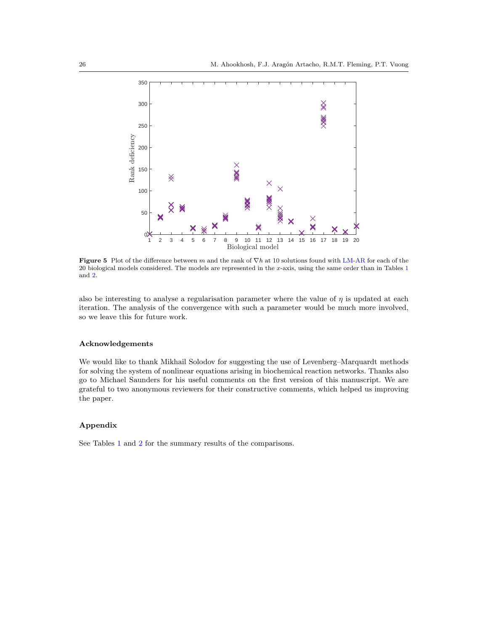

<span id="page-25-0"></span>Figure 5 Plot of the difference between m and the rank of  $\nabla h$  at 10 solutions found with [LM-AR](#page-6-1) for each of the 20 biological models considered. The models are represented in the x-axis, using the same order than in Tables [1](#page-26-0) and [2.](#page-27-0)

also be interesting to analyse a regularisation parameter where the value of  $\eta$  is updated at each iteration. The analysis of the convergence with such a parameter would be much more involved, so we leave this for future work.

### Acknowledgements

We would like to thank Mikhail Solodov for suggesting the use of Levenberg–Marquardt methods for solving the system of nonlinear equations arising in biochemical reaction networks. Thanks also go to Michael Saunders for his useful comments on the first version of this manuscript. We are grateful to two anonymous reviewers for their constructive comments, which helped us improving the paper.

## Appendix

See Tables [1](#page-26-0) and [2](#page-27-0) for the summary results of the comparisons.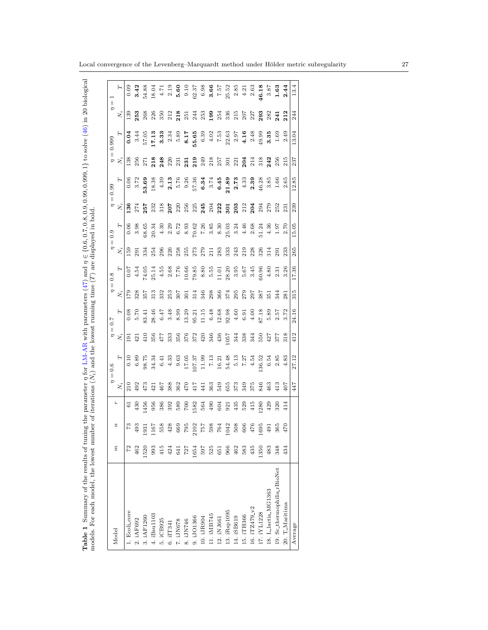<span id="page-26-0"></span>

| 5<br>i<br>١<br>ו<br>כ<br>he the load had been been for the south of the season of the season of the season of the season of the season of the season of the season of the season of the season of the season of the season of the season of the season |                                                                                                       |
|--------------------------------------------------------------------------------------------------------------------------------------------------------------------------------------------------------------------------------------------------------|-------------------------------------------------------------------------------------------------------|
| betameters (47) and $\eta \in \{0.6, 0.7, 0.8, 0.9, 0.99,$ $0.000$ $^{-1}$ .                                                                                                                                                                           | )<br>}<br>}                                                                                           |
| $\blacksquare$ $\blacksquare$ $\blacksquare$ $\blacksquare$ $\blacksquare$ $\blacksquare$<br>W ATTEL-TATES W                                                                                                                                           | $\lambda$ mdarn $\lambda$ rn $\lambda$ arra 9 mmm<br>$\cdots$ and $(T)$ and $\cdots$<br>$\frac{1}{2}$ |
| $max$ manarameter $n$ .<br>had orn Street<br>$\frac{1}{2}$<br>${1 \over 2}$<br>ׇ֓֕֡                                                                                                                                                                    | + p = c = 1 / / / / / p = c = c<br>י<br>י<br>$\frac{1}{1}$<br>יט<br>נע<br>o hom<br>i<br>ļ             |
| Ì<br>ĺ<br>۱<br>$\frac{1}{2}$<br>Ï                                                                                                                                                                                                                      | l<br>j<br>I<br>l<br>l                                                                                 |

| Model                       |      |      |          | $\parallel$    | 0.6   |                | 7.0                                                                                                                                                                                                                                                                                                | $\parallel$                                | $\overline{0.8}$        |                         |                     |                            | 0.99  |                           | 0.999         | $\overline{a}$           | $\lvert \rvert$ |
|-----------------------------|------|------|----------|----------------|-------|----------------|----------------------------------------------------------------------------------------------------------------------------------------------------------------------------------------------------------------------------------------------------------------------------------------------------|--------------------------------------------|-------------------------|-------------------------|---------------------|----------------------------|-------|---------------------------|---------------|--------------------------|-----------------|
|                             | r,   | π    |          |                |       | $\mathbf{N}_i$ | H                                                                                                                                                                                                                                                                                                  | $\mathbf{N}_i$                             |                         |                         |                     | $N_i$                      |       | $N_i$                     | $\mathcal{F}$ | $\ddot{x_i}$             |                 |
| 1. Ecoli_core               | 72   |      |          | 210            |       | 191            | 0.08                                                                                                                                                                                                                                                                                               | 621                                        | 0.07                    | 159                     | 0.06                | $^{136}$                   | 0.06  | 138                       | 0.04          | 139                      | 0.09            |
| 2. iAF692                   | 462  | 493  | $^{430}$ | 492            |       | $_{421}$       | 0.70                                                                                                                                                                                                                                                                                               | 328                                        | 4.54                    | 29 <sub>1</sub>         |                     | 274                        | 3.72  | 256                       |               |                          |                 |
| 3. iAF1260                  | 1520 | 1931 | 1456     | 473            |       | 410            |                                                                                                                                                                                                                                                                                                    | 357                                        |                         | 334                     |                     | $257$<br>$232$             | 53.69 |                           |               |                          |                 |
| 4. iBsu1103                 | 993  |      | 956      | $\overline{2}$ |       | 356            | $33.45$<br>$28.45$<br>$8.48$<br>$8.99$                                                                                                                                                                                                                                                             | $\frac{313}{21}$                           | 74.05<br>25.14          | 254                     |                     |                            |       | $\frac{271}{218}$         |               | <b>253</b><br>268<br>226 |                 |
| 5. iCB925                   | 415  |      | 386      | 467            |       | 477            |                                                                                                                                                                                                                                                                                                    | 332                                        | 4.55                    | 296                     |                     | 318                        |       | 248                       |               |                          |                 |
| 6. iIT341                   | 424  |      | 392      | 388            |       | 333            |                                                                                                                                                                                                                                                                                                    | 253                                        |                         | 226                     |                     | 207                        |       |                           |               |                          |                 |
| 7. iJN678                   | 641  |      | 589      | 362            |       | 356            |                                                                                                                                                                                                                                                                                                    |                                            |                         | 258                     |                     | 220                        |       | $\frac{226}{231}$         |               |                          |                 |
| 8. IJN746                   | 727  |      | $^{50}$  | 470            |       | 376            |                                                                                                                                                                                                                                                                                                    | 50                                         |                         | 255                     |                     | 256                        |       |                           |               |                          |                 |
| 9. iJO1366                  | 1654 |      | 1582     | $417\,$        |       | 372            | $\begin{array}{cccccccccc} 23 & 23 & 24 & 25 & 26 & 27 & 28 & 28 & 27 & 28 & 29 & 21 & 21 & 21 & 22 & 23 & 24 & 25 & 26 & 27 & 28 & 29 & 21 & 20 & 21 & 22 & 23 & 24 & 25 & 26 & 27 & 28 & 29 & 21 & 20 & 20 & 21 & 20 & 22 & 23 & 27 & 28 & 29 & 21 & 20 & 20 & 20 & 21 & 20 & 20 & 20 & 20 & 21$ | 314                                        |                         | 273                     |                     |                            |       | 2319<br>219<br>218<br>257 |               |                          |                 |
| 10. iJR904                  | 597  |      | 564      | 441            |       | $420$<br>346   |                                                                                                                                                                                                                                                                                                    |                                            |                         |                         |                     | $225$<br>245<br>204<br>222 |       |                           |               |                          |                 |
| 11. IMB745                  | 525  |      | $^{49}$  | 363            |       |                |                                                                                                                                                                                                                                                                                                    | $\begin{array}{c} 346 \\ 2.98 \end{array}$ |                         | $279$<br>$213$<br>$283$ |                     |                            |       |                           |               |                          |                 |
| 12. iNJ661                  | 651  |      | 604      | 549            |       | 436            |                                                                                                                                                                                                                                                                                                    | 366                                        |                         |                         |                     |                            |       |                           |               |                          |                 |
| 13. iRsp1095                | 966  |      | 921      | 655<br>373     |       | 1057           |                                                                                                                                                                                                                                                                                                    | 374                                        |                         | 333                     |                     | $\overline{5}$             |       | 301                       |               |                          |                 |
| 14. ISB619                  | 462  |      | 435      |                |       |                |                                                                                                                                                                                                                                                                                                    | 295                                        |                         | 243                     |                     | $203$<br>$212$             |       | $221$<br>$204$            |               |                          |                 |
| 15. ITH366                  | 583  |      | 529      | 349            |       | 344<br>338     |                                                                                                                                                                                                                                                                                                    | 279                                        |                         | 219                     |                     |                            |       |                           |               |                          |                 |
| 16. iTZ479_v2               | 435  |      | 415      | 375            |       | 344            |                                                                                                                                                                                                                                                                                                    | 297                                        |                         | 228                     |                     | 204                        |       |                           |               |                          |                 |
| 17. IYL1228                 | 1350 |      | .280     | 846            |       | 550            |                                                                                                                                                                                                                                                                                                    | 387                                        | 30.96                   | 326                     |                     | 294                        |       | $\frac{318}{242}$         |               |                          |                 |
| 18. L_lactis_MG1363         | 483  |      | 429      | $^{463}$       |       | 427            |                                                                                                                                                                                                                                                                                                    | $\frac{5}{2}$                              |                         | 314                     |                     | 279                        |       |                           |               |                          |                 |
| 19. Sc_thermophilis_rBioNet | 348  |      | 320      | 413            |       | 377            |                                                                                                                                                                                                                                                                                                    | 344                                        | 8 5 5<br>4 0 6<br>5 9 6 | 291                     |                     | 252                        |       | 256                       |               | 241                      |                 |
| 20. T_Maritima              | 434  | 470  | 414      | 407            |       | 318            | 3.72                                                                                                                                                                                                                                                                                               | 281                                        |                         | 233                     | $\frac{1.97}{2.70}$ | 231                        |       | 215                       |               | 212                      |                 |
| Average                     |      |      |          | 447            | 27.12 | 412            | 24.16                                                                                                                                                                                                                                                                                              | 315                                        | 17.36                   | 265                     | 15.05               | 239                        | 12.85 | 237                       | 13.04         | 244                      | 13.4            |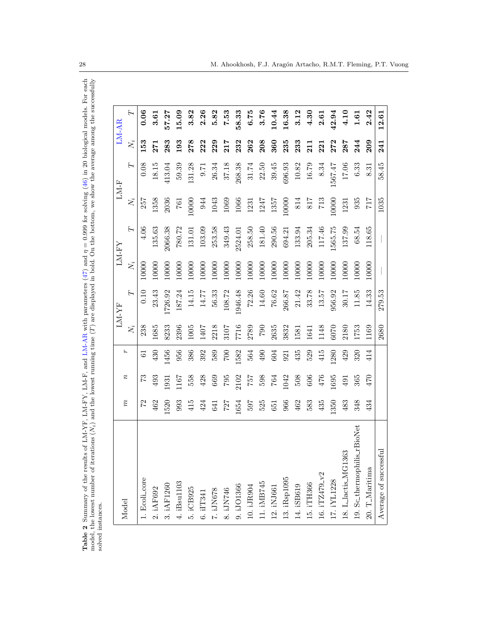<span id="page-27-0"></span>

|                                                                                                    | i                                                                                            |  |
|----------------------------------------------------------------------------------------------------|----------------------------------------------------------------------------------------------|--|
| ds. For eac<br>ļ                                                                                   |                                                                                              |  |
|                                                                                                    |                                                                                              |  |
|                                                                                                    |                                                                                              |  |
| . امیشمان<br>・・フローン                                                                                |                                                                                              |  |
| $\frac{1}{2}$                                                                                      | S<br>S<br>S<br>S<br>S<br>S<br>S<br>S<br>S<br>S<br>S<br>S<br><br><br><br><br><br><br><br><br> |  |
| i<br>1                                                                                             |                                                                                              |  |
| $\ddot{\phantom{0}}$                                                                               | $\frac{1}{2}$                                                                                |  |
|                                                                                                    | $-1$<br>֧֧֧֧֧֧֧֧֧֧֧֧֧֧֧֧֧֧֧֚֚֚֚֚֚֚֚֝֟֬֝֬֝֬֝֬֝֬֓֝֬֝֬֝֬֝֬֝֬֓֝֬֝֬֝֬֝֟֬֝֬֝֬֝֬֝֬                  |  |
|                                                                                                    |                                                                                              |  |
| $\frac{1}{2}$<br>֧֧֧֧֧֧֧֧֧֧֧֧֧֚֡֬֝֬֓֝֬֓֝֬֓֓֝֬֓֓֝֬֓֝֬֓֝֬֝֓֝֬֓֓֝֬֝֓֓֝֬֝֬֓֓֝֬֝֓֬֝֬֝֓֝֬֝֬֝֬֝֓֝֬֝֬֝֬֝֝֬ |                                                                                              |  |
| i                                                                                                  | j<br>Į                                                                                       |  |
|                                                                                                    | <br>                                                                                         |  |
| $\sim$ beg $\left(\frac{1}{2}\right)$ and $\sim$                                                   | i<br>S                                                                                       |  |
|                                                                                                    | ļ                                                                                            |  |
|                                                                                                    | $\sim$ $\sim$<br>ĺ<br>$\overline{a}$                                                         |  |
|                                                                                                    | S MAG                                                                                        |  |
|                                                                                                    | .<br>.<br>.                                                                                  |  |
| $\ddot{\phantom{0}}$<br>ı                                                                          |                                                                                              |  |
|                                                                                                    |                                                                                              |  |
| l                                                                                                  |                                                                                              |  |
| $\frac{1}{2}$<br>ı<br>I                                                                            | <br>איי אי<br>l                                                                              |  |
|                                                                                                    | I                                                                                            |  |
|                                                                                                    | ;<br>;                                                                                       |  |
| :<br>י                                                                                             |                                                                                              |  |
|                                                                                                    | content of the content of                                                                    |  |
|                                                                                                    | c lowward                                                                                    |  |
|                                                                                                    | $\overline{1}$                                                                               |  |
| $\overline{\phantom{a}}$                                                                           | i<br>ī<br>j<br>てくら                                                                           |  |

| Model                       |                 |                            |                 |            | LM-YF     |       | LM-FY   |             | $LM-F$  |       | $LM-AR$ |
|-----------------------------|-----------------|----------------------------|-----------------|------------|-----------|-------|---------|-------------|---------|-------|---------|
|                             | $\widetilde{n}$ | $\boldsymbol{\mathcal{v}}$ | ٤               | $N_i$      | Н         | $N_i$ | Η       | $\bar{N_i}$ | Η       | $N_i$ | ⊢       |
| 1. Ecoli_core               |                 | 73                         | 61              | 238        | 0.10      | 10000 | 4.06    | 257         | 0.08    | 153   | 0.06    |
| 2. iAF692                   | 462             | 493                        | 430             | 1685       | 23.43     | 10000 | 135.63  | 1358        | 18.15   | 271   | 3.61    |
| 3. iAF1260                  | 1520            | 1931                       | 1456            | 8233       | 1726.92   | 10000 | 2066.38 | 2036        | 413.04  | 283   | 57.27   |
| 4. iBsu1103                 | 993             | 167                        | 956             | 2396       | 187.24    | 10000 | 780.72  | <b>E</b> 97 | 59.39   | 193   | 15.09   |
| 5. iCB925                   | 415             | 558                        | 386             | 1005       | 14.15     | 10000 | 131.01  | .0000       | 131.28  | 278   | 3.82    |
| $6.$ i<br>IT341 $\,$        | 424             | 428                        | 392             | 1407       | 14.77     | 10000 | 103.09  | 944         | 9.71    | 222   | 2.26    |
| 7. IJN678                   | 641             | 669                        | 589             | 2218       | 56.33     | 10000 | 253.58  | 1043        | 26.34   | 229   | 5.82    |
| 8. IJN746                   | 727             | 795                        | <b>COZ</b>      | 3107       | 108.72    | 10000 | 349.43  | 1069        | 37.18   | 217   | 7.53    |
| 9. iJO1366                  | 1654            | 2102                       | 1582            | 7716       | 1946.48   | 10000 | 2524.01 | 1066        | 268.38  | 232   | 58.33   |
| 10. iJR904                  | 597             | 757                        | 564             | 2789       | 72.26     | 10000 | 258.50  | 1231        | 31.74   | 262   | 6.75    |
| 11. iMB745                  | 525             | 598                        | 06 <sup>b</sup> | $06\Delta$ | $14.60\,$ | 10000 | 181.40  | 1247        | 22.50   | 208   | 3.76    |
| 12. iNJ661                  | 651             | 764                        | 604             | 2635       | 76.62     | 10000 | 290.56  | 1357        | 39.45   | 360   | 10.44   |
| 13. iRsp1095                | 966             | 1042                       | 921             | 3832       | 266.87    | 10000 | 694.21  | 10000       | 696.93  | 235   | 16.38   |
| 14. iSB619                  | 462             | 508                        | 435             | 1581       | 21.42     | 10000 | 133.94  | 814         | 10.82   | 233   | 3.12    |
| 15. iTH366                  | 583             | 606                        | 529             | 1641       | 33.78     | 10000 | 205.34  | 817         | 16.79   | 211   | 4.30    |
| 16. iTZ479_v2               | 435             | 476                        | 415             | 1148       | 13.57     | 10000 | 117.46  | 713         | 8.34    | 221   | 2.61    |
| 17. iYL1228                 | 1350            | 1695                       | 1280            | 6070       | 956.92    | 10000 | 1565.75 | 10000       | 1567.47 | 272   | 42.94   |
| 18. L_lactis_MG1363         | 483             | 491                        | 429             | 2180       | 30.17     | 10000 | 137.99  | 1231        | 17.06   | 287   | 4.10    |
| 19. Sc_thermophilis_rBioNet | 348             | 365                        | 320             | 1753       | 11.85     | 10000 | 68.54   | 935         | 6.33    | 244   | 1.61    |
| 20. T_Maritima              | 434             | 470                        | 414             | 1169       | 14.33     | 10000 | 118.65  | 717         | 8.31    | 209   | 2.42    |
| Average of successful       |                 |                            |                 | 2680       | 279.53    |       |         | 1035        | 58.45   | 241   | 12.61   |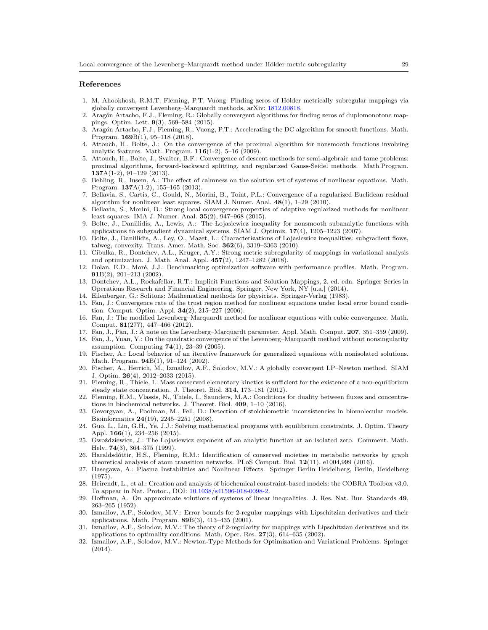#### References

- <span id="page-28-31"></span>1. M. Ahookhosh, R.M.T. Fleming, P.T. Vuong: Finding zeros of Hölder metrically subregular mappings via globally convergent Levenberg–Marquardt methods, arXiv: [1812.00818.](https://arxiv.org/abs/1812.00818.pdf)
- <span id="page-28-2"></span>2. Aragón Artacho, F.J., Fleming, R.: Globally convergent algorithms for finding zeros of duplomonotone mappings. Optim. Lett. 9(3), 569–584 (2015).
- <span id="page-28-3"></span>3. Arag´on Artacho, F.J., Fleming, R., Vuong, P.T.: Accelerating the DC algorithm for smooth functions. Math. Program. 169B(1), 95–118 (2018).
- <span id="page-28-19"></span>4. Attouch, H., Bolte, J.: On the convergence of the proximal algorithm for nonsmooth functions involving analytic features. Math. Program. 116(1-2), 5–16 (2009).
- <span id="page-28-20"></span>5. Attouch, H., Bolte, J., Svaiter, B.F.: Convergence of descent methods for semi-algebraic and tame problems: proximal algorithms, forward-backward splitting, and regularized Gauss-Seidel methods. Math.Program.  $137A(1-2), 91-129$  (2013).
- <span id="page-28-11"></span>6. Behling, R., Iusem, A.: The effect of calmness on the solution set of systems of nonlinear equations. Math. Program. 137A(1-2), 155–165 (2013).
- <span id="page-28-4"></span>7. Bellavia, S., Cartis, C., Gould, N., Morini, B., Toint, P.L.: Convergence of a regularized Euclidean residual algorithm for nonlinear least squares. SIAM J. Numer. Anal.  $48(1)$ , 1–29 (2010).
- <span id="page-28-6"></span>8. Bellavia, S., Morini, B.: Strong local convergence properties of adaptive regularized methods for nonlinear least squares. IMA J. Numer. Anal. 35(2), 947–968 (2015).
- <span id="page-28-18"></span>9. Bolte, J., Daniilidis, A., Lewis, A.: The Lojasiewicz inequality for nonsmooth subanalytic functions with applications to subgradient dynamical systems. SIAM J. Optimiz. 17(4), 1205–1223 (2007).
- <span id="page-28-21"></span>10. Bolte, J., Daniilidis, A., Ley, O., Mazet, L.: Characterizations of Lojasiewicz inequalities: subgradient flows, talweg, convexity. Trans. Amer. Math. Soc. 362(6), 3319–3363 (2010).
- <span id="page-28-9"></span>11. Cibulka, R., Dontchev, A.L., Kruger, A.Y.: Strong metric subregularity of mappings in variational analysis and optimization. J. Math. Anal. Appl. 457(2), 1247–1282 (2018).
- <span id="page-28-30"></span>12. Dolan, E.D., Moré, J.J.: Benchmarking optimization software with performance profiles. Math. Program. 91B(2), 201–213 (2002).
- <span id="page-28-8"></span>13. Dontchev, A.L., Rockafellar, R.T.: Implicit Functions and Solution Mappings, 2. ed. edn. Springer Series in Operations Research and Financial Engineering. Springer, New York, NY [u.a.] (2014).
- <span id="page-28-0"></span>14. Eilenberger, G.: Solitons: Mathematical methods for physicists. Springer-Verlag (1983).
- <span id="page-28-10"></span>15. Fan, J.: Convergence rate of the trust region method for nonlinear equations under local error bound condition. Comput. Optim. Appl. 34(2), 215–227 (2006).
- <span id="page-28-12"></span>16. Fan, J.: The modified Levenberg–Marquardt method for nonlinear equations with cubic convergence. Math. Comput. 81(277), 447–466 (2012).
- <span id="page-28-17"></span>17. Fan, J., Pan, J.: A note on the Levenberg–Marquardt parameter. Appl. Math. Comput. 207, 351–359 (2009).
- <span id="page-28-13"></span>18. Fan, J., Yuan, Y.: On the quadratic convergence of the Levenberg–Marquardt method without nonsingularity assumption. Computing 74(1), 23–39 (2005).
- <span id="page-28-16"></span>19. Fischer, A.: Local behavior of an iterative framework for generalized equations with nonisolated solutions. Math. Program. **94**B(1), 91-124 (2002).
- <span id="page-28-5"></span>20. Fischer, A., Herrich, M., Izmailov, A.F., Solodov, M.V.: A globally convergent LP–Newton method. SIAM J. Optim. 26(4), 2012–2033 (2015).
- <span id="page-28-25"></span>21. Fleming, R., Thiele, I.: Mass conserved elementary kinetics is sufficient for the existence of a non-equilibrium steady state concentration. J. Theoret. Biol. 314, 173–181 (2012).
- <span id="page-28-27"></span>22. Fleming, R.M., Vlassis, N., Thiele, I., Saunders, M.A.: Conditions for duality between fluxes and concentrations in biochemical networks. J. Theoret. Biol. 409, 1–10 (2016).
- <span id="page-28-26"></span>23. Gevorgyan, A., Poolman, M., Fell, D.: Detection of stoichiometric inconsistencies in biomolecular models. Bioinformatics 24(19), 2245–2251 (2008).
- <span id="page-28-14"></span>24. Guo, L., Lin, G.H., Ye, J.J.: Solving mathematical programs with equilibrium constraints. J. Optim. Theory Appl. 166(1), 234–256 (2015).
- <span id="page-28-22"></span>25. Gwoździewicz, J.: The Lojasiewicz exponent of an analytic function at an isolated zero. Comment. Math. Helv. 74(3), 364–375 (1999).
- <span id="page-28-28"></span>26. Haraldsdóttir, H.S., Fleming, R.M.: Identification of conserved moieties in metabolic networks by graph theoretical analysis of atom transition networks. PLoS Comput. Biol.  $12(11)$ , e1004,999 (2016).
- <span id="page-28-1"></span>27. Hasegawa, A.: Plasma Instabilities and Nonlinear Effects. Springer Berlin Heidelberg, Berlin, Heidelberg (1975).
- <span id="page-28-29"></span>28. Heirendt, L., et al.: Creation and analysis of biochemical constraint-based models: the COBRA Toolbox v3.0. To appear in Nat. Protoc., DOI: [10.1038/s41596-018-0098-2.](http://dx.doi.org/10.1038/s41596-018-0098-2)
- <span id="page-28-7"></span>29. Hoffman, A.: On approximate solutions of systems of linear inequalities. J. Res. Nat. Bur. Standards 49, 263–265 (1952).
- <span id="page-28-23"></span>30. Izmailov, A.F., Solodov, M.V.: Error bounds for 2-regular mappings with Lipschitzian derivatives and their applications. Math. Program. 89B(3), 413–435 (2001).
- <span id="page-28-24"></span>31. Izmailov, A.F., Solodov, M.V.: The theory of 2-regularity for mappings with Lipschitzian derivatives and its applications to optimality conditions. Math. Oper. Res. 27(3), 614–635 (2002).
- <span id="page-28-15"></span>32. Izmailov, A.F., Solodov, M.V.: Newton-Type Methods for Optimization and Variational Problems. Springer (2014).